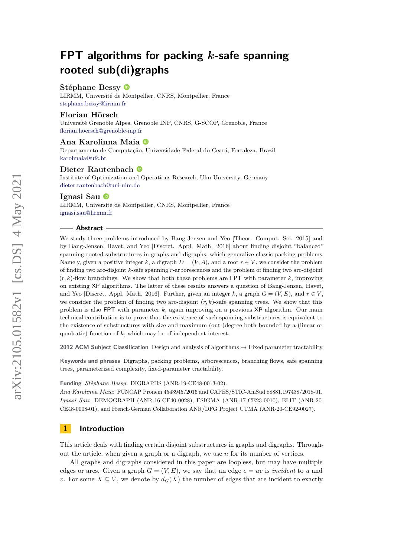# **Stéphane Bessy**

LIRMM, Université de Montpellier, CNRS, Montpellier, France [stephane.bessy@lirmm.fr](mailto:stephane.bessy@lirmm.fr)

# **Florian Hörsch**

Université Grenoble Alpes, Grenoble INP, CNRS, G-SCOP, Grenoble, France [florian.hoersch@grenoble-inp.fr](mailto:florian.hoersch@grenoble-inp.fr)

# **Ana Karolinna Maia**

Departamento de Computação, Universidade Federal do Ceará, Fortaleza, Brazil [karolmaia@ufc.br](mailto:karolmaia@ufc.br)

# **Dieter Rautenbach**

Institute of Optimization and Operations Research, Ulm University, Germany [dieter.rautenbach@uni-ulm.de](mailto:dieter.rautenbach@uni-ulm.de)

#### **Ignasi Sau**

LIRMM, Université de Montpellier, CNRS, Montpellier, France [ignasi.sau@lirmm.fr](mailto:ignasi.sau@lirmm.fr)

#### **Abstract**

We study three problems introduced by Bang-Jensen and Yeo [Theor. Comput. Sci. 2015] and by Bang-Jensen, Havet, and Yeo [Discret. Appl. Math. 2016] about finding disjoint "balanced" spanning rooted substructures in graphs and digraphs, which generalize classic packing problems. Namely, given a positive integer k, a digraph  $D = (V, A)$ , and a root  $r \in V$ , we consider the problem of finding two arc-disjoint *k*-safe spanning *r*-arborescences and the problem of finding two arc-disjoint  $(r, k)$ -flow branchings. We show that both these problems are FPT with parameter  $k$ , improving on existing XP algorithms. The latter of these results answers a question of Bang-Jensen, Havet, and Yeo [Discret. Appl. Math. 2016]. Further, given an integer  $k$ , a graph  $G = (V, E)$ , and  $r \in V$ . we consider the problem of finding two arc-disjoint  $(r, k)$ -safe spanning trees. We show that this problem is also FPT with parameter *k*, again improving on a previous XP algorithm. Our main technical contribution is to prove that the existence of such spanning substructures is equivalent to the existence of substructures with size and maximum (out-)degree both bounded by a (linear or quadratic) function of *k*, which may be of independent interest.

**2012 ACM Subject Classification** Design and analysis of algorithms → Fixed parameter tractability.

**Keywords and phrases** Digraphs, packing problems, arborescences, branching flows, safe spanning trees, parameterized complexity, fixed-parameter tractability.

**Funding** *Stéphane Bessy*: DIGRAPHS (ANR-19-CE48-0013-02).

*Ana Karolinna Maia*: FUNCAP Pronem 4543945/2016 and CAPES/STIC-AmSud 88881.197438/2018-01. *Ignasi Sau*: DEMOGRAPH (ANR-16-CE40-0028), ESIGMA (ANR-17-CE23-0010), ELIT (ANR-20- CE48-0008-01), and French-German Collaboration ANR/DFG Project UTMA (ANR-20-CE92-0027).

# **1 Introduction**

This article deals with finding certain disjoint substructures in graphs and digraphs. Throughout the article, when given a graph or a digraph, we use *n* for its number of vertices.

All graphs and digraphs considered in this paper are loopless, but may have multiple edges or arcs. Given a graph  $G = (V, E)$ , we say that an edge  $e = uv$  is *incident* to *u* and *v*. For some  $X \subseteq V$ , we denote by  $d_G(X)$  the number of edges that are incident to exactly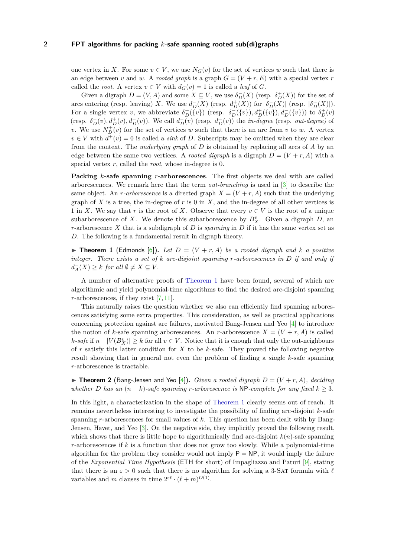one vertex in X. For some  $v \in V$ , we use  $N_G(v)$  for the set of vertices w such that there is an edge between *v* and *w*. A *rooted graph* is a graph  $G = (V + r, E)$  with a special vertex *r* called the *root*. A vertex  $v \in V$  with  $d_G(v) = 1$  is called a *leaf* of *G*.

Given a digraph  $D = (V, A)$  and some  $X \subseteq V$ , we use  $\delta_D^{-}(X)$  (resp.  $\delta_D^{+}(X)$ ) for the set of arcs entering (resp. leaving) *X*. We use  $d_D^-(X)$  (resp.  $d_D^+(X)$ ) for  $|\delta_D^-(X)|$  (resp.  $|\delta_D^+(X)|$ ). For a single vertex *v*, we abbreviate  $\delta_D^+(\{v\})$  (resp.  $\delta_D^-(\{v\}), d_D^+(\{v\}), d_D^-(\{v\})$ ) to  $\delta_D^+(v)$ (resp.  $\delta_D^-(v)$ ,  $d_D^+(v)$ ,  $d_D^-(v)$ ). We call  $d_D^-(v)$  (resp.  $d_D^+(v)$ ) the *in-degree* (resp. *out-degree*) of *v*. We use  $N_D^+(v)$  for the set of vertices *w* such that there is an arc from *v* to *w*. A vertex  $v \in V$  with  $d^+(v) = 0$  is called a *sink* of *D*. Subscripts may be omitted when they are clear from the context. The *underlying graph* of *D* is obtained by replacing all arcs of *A* by an edge between the same two vertices. A *rooted digraph* is a digraph  $D = (V + r, A)$  with a special vertex *r*, called the *root*, whose in-degree is 0.

**Packing** *k***-safe spanning** *r***-arborescences**. The first objects we deal with are called arborescences. We remark here that the term *out-branching* is used in [\[3\]](#page-18-0) to describe the same object. An *r*-arborescence is a directed graph  $X = (V + r, A)$  such that the underlying graph of *X* is a tree, the in-degree of *r* is 0 in *X*, and the in-degree of all other vertices is 1 in *X*. We say that *r* is the root of *X*. Observe that every  $v \in V$  is the root of a unique subarborescence of *X*. We denote this subarborescence by  $B_X^v$ . Given a digraph *D*, an *r*-arborescence *X* that is a subdigraph of *D* is *spanning* in *D* if it has the same vertex set as *D*. The following is a fundamental result in digraph theory.

<span id="page-1-0"></span> $\triangleright$  **Theorem 1** (Edmonds [\[6\]](#page-19-0)). Let  $D = (V + r, A)$  be a rooted digraph and k a positive *integer. There exists a set of k arc-disjoint spanning r-arborescences in D if and only if*  $d_A^-(X) \geq k$  *for all*  $\emptyset \neq X \subseteq V$ .

A number of alternative proofs of [Theorem 1](#page-1-0) have been found, several of which are algorithmic and yield polynomial-time algorithms to find the desired arc-disjoint spanning *r*-arborescences, if they exist [\[7,](#page-19-1) [11\]](#page-19-2).

This naturally raises the question whether we also can efficiently find spanning arborescences satisfying some extra properties. This consideration, as well as practical applications concerning protection against arc failures, motivated Bang-Jensen and Yeo [\[4\]](#page-18-1) to introduce the notion of *k*-safe spanning arborescences. An *r*-arborescence  $X = (V + r, A)$  is called *k*-safe if  $n - |V(B_X^v)| \geq k$  for all  $v \in V$ . Notice that it is enough that only the out-neighbours of *r* satisfy this latter condition for *X* to be *k*-safe. They proved the following negative result showing that in general not even the problem of finding a single *k*-safe spanning *r*-arborescence is tractable.

 $\triangleright$  **Theorem 2** (Bang-Jensen and Yeo [\[4\]](#page-18-1)). *Given a rooted digraph*  $D = (V + r, A)$ , deciding *whether D has an*  $(n - k)$ *-safe spanning r-arborescence is* NP*-complete for any fixed*  $k \geq 3$ *.* 

<span id="page-1-1"></span>In this light, a characterization in the shape of [Theorem 1](#page-1-0) clearly seems out of reach. It remains nevertheless interesting to investigate the possibility of finding arc-disjoint *k*-safe spanning *r*-arborescences for small values of *k*. This question has been dealt with by Bang-Jensen, Havet, and Yeo [\[3\]](#page-18-0). On the negative side, they implicitly proved the following result, which shows that there is little hope to algorithmically find arc-disjoint  $k(n)$ -safe spanning *r*-arborescences if *k* is a function that does not grow too slowly. While a polynomial-time algorithm for the problem they consider would not imply  $P = NP$ , it would imply the failure of the *Exponential Time Hypothesis* (ETH for short) of Impagliazzo and Paturi [\[9\]](#page-19-3), stating that there is an  $\varepsilon > 0$  such that there is no algorithm for solving a 3-SAT formula with  $\ell$ variables and *m* clauses in time  $2^{\varepsilon \ell} \cdot (\ell + m)^{O(1)}$ .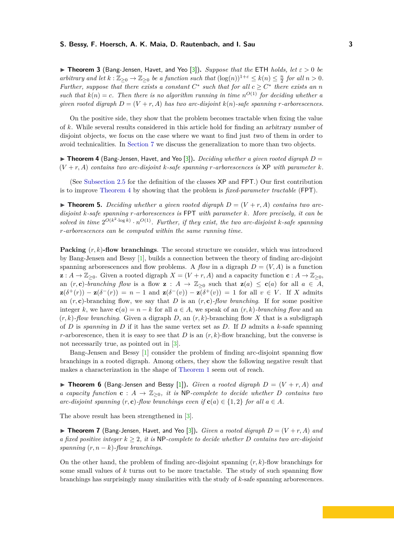I **Theorem 3** (Bang-Jensen, Havet, and Yeo [\[3\]](#page-18-0))**.** *Suppose that the* ETH *holds, let ε >* 0 *be arbitrary and let*  $k : \mathbb{Z}_{\geq 0} \to \mathbb{Z}_{\geq 0}$  *be a function such that*  $(\log(n))^{1+\varepsilon} \leq k(n) \leq \frac{n}{2}$  *for all*  $n > 0$ *. Further, suppose that there exists a constant*  $C^*$  such that for all  $c \geq C^*$  there exists an n *such that*  $k(n) = c$ . Then there is no algorithm running in time  $n^{O(1)}$  for deciding whether a *given rooted digraph*  $D = (V + r, A)$  *has two arc-disjoint*  $k(n)$ *-safe spanning r-arborescences.* 

On the positive side, they show that the problem becomes tractable when fixing the value of *k*. While several results considered in this article hold for finding an arbitrary number of disjoint objects, we focus on the case where we want to find just two of them in order to avoid technicalities. In [Section 7](#page-17-0) we discuss the generalization to more than two objects.

<span id="page-2-0"></span> $\triangleright$  **Theorem 4** (Bang-Jensen, Havet, and Yeo [\[3\]](#page-18-0)). *Deciding whether a given rooted digraph*  $D =$  $(V + r, A)$  *contains two arc-disjoint*  $k$ *-safe spanning r-arborescences is*  $XP$  *with parameter*  $k$ *.* 

(See [Subsection 2.5](#page-8-0) for the definition of the classes XP and FPT.) Our first contribution is to improve [Theorem 4](#page-2-0) by showing that the problem is *fixed-parameter tractable* (FPT).

<span id="page-2-1"></span> $\triangleright$  **Theorem 5.** *Deciding whether a given rooted digraph*  $D = (V + r, A)$  *contains two arcdisjoint k-safe spanning r-arborescences is* FPT *with parameter k. More precisely, it can be* solved in time  $2^{O(k^2 \cdot \log k)} \cdot n^{O(1)}$ . Further, if they exist, the two arc-disjoint *k*-safe spanning *r-arborescences can be computed within the same running time.*

**Packing** (*r, k*)**-flow branchings**. The second structure we consider, which was introduced by Bang-Jensen and Bessy [\[1\]](#page-18-2), builds a connection between the theory of finding arc-disjoint spanning arborescences and flow problems. A *flow* in a digraph  $D = (V, A)$  is a function  $\mathbf{z}: A \to \mathbb{Z}_{\geq 0}$ . Given a rooted digraph  $X = (V + r, A)$  and a capacity function  $\mathbf{c}: A \to \mathbb{Z}_{\geq 0}$ , an  $(r, c)$ *-branching flow* is a flow  $z : A \to \mathbb{Z}_{\geq 0}$  such that  $z(a) \leq c(a)$  for all  $a \in A$ , **z**( $\delta^+(r)$ ) – **z**( $\delta^-(r)$ ) = *n* − 1 and **z**( $\delta^-(v)$ ) – **z**( $\delta^+(v)$ ) = 1 for all *v* ∈ *V*. If *X* admits an  $(r, c)$ -branching flow, we say that *D* is an  $(r, c)$ -flow branching. If for some positive integer *k*, we have  $c(a) = n - k$  for all  $a \in A$ , we speak of an  $(r, k)$ *-branching flow* and an  $(r, k)$ -flow branching. Given a digraph *D*, an  $(r, k)$ -branching flow *X* that is a subdigraph of *D* is *spanning* in *D* if it has the same vertex set as *D*. If *D* admits a *k*-safe spanning *r*-arborescence, then it is easy to see that *D* is an  $(r, k)$ -flow branching, but the converse is not necessarily true, as pointed out in [\[3\]](#page-18-0).

Bang-Jensen and Bessy [\[1\]](#page-18-2) consider the problem of finding arc-disjoint spanning flow branchings in a rooted digraph. Among others, they show the following negative result that makes a characterization in the shape of [Theorem 1](#page-1-0) seem out of reach.

**Findam 6** (Bang-Jensen and Bessy [\[1\]](#page-18-2)). *Given a rooted digraph*  $D = (V + r, A)$  *and a capacity function* **c** :  $A \rightarrow \mathbb{Z}_{\geq 0}$ , *it is* NP*-complete to decide whether D contains two arc-disjoint spanning*  $(r, c)$ -flow branchings even if  $c(a) \in \{1, 2\}$  for all  $a \in A$ .

The above result has been strengthened in [\[3\]](#page-18-0).

 $\triangleright$  **Theorem 7** (Bang-Jensen, Havet, and Yeo [\[3\]](#page-18-0)). *Given a rooted digraph*  $D = (V + r, A)$  *and a fixed positive integer*  $k \geq 2$ , *it is* NP*-complete to decide whether D contains two arc-disjoint spanning*  $(r, n - k)$ *-flow branchings.* 

On the other hand, the problem of finding arc-disjoint spanning (*r, k*)-flow branchings for some small values of *k* turns out to be more tractable. The study of such spanning flow branchings has surprisingly many similarities with the study of *k*-safe spanning arborescences.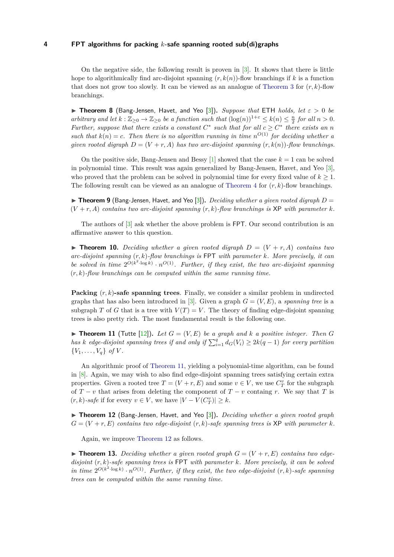On the negative side, the following result is proven in [\[3\]](#page-18-0). It shows that there is little hope to algorithmically find arc-disjoint spanning  $(r, k(n))$ -flow branchings if k is a function that does not grow too slowly. It can be viewed as an analogue of [Theorem 3](#page-1-1) for  $(r, k)$ -flow branchings.

<span id="page-3-2"></span>**Findally 1 Theorem 8** (Bang-Jensen, Havet, and Yeo [\[3\]](#page-18-0)). *Suppose that* ETH *holds, let*  $\varepsilon > 0$  *be arbitrary and let*  $k : \mathbb{Z}_{\geq 0} \to \mathbb{Z}_{\geq 0}$  *be a function such that*  $(\log(n))^{1+\varepsilon} \leq k(n) \leq \frac{n}{2}$  *for all*  $n > 0$ *. Further, suppose that there exists a constant*  $C^*$  such that for all  $c \geq C^*$  there exists an n *such that*  $k(n) = c$ . Then there is no algorithm running in time  $n^{O(1)}$  for deciding whether a *given rooted digraph*  $D = (V + r, A)$  *has two arc-disjoint spanning*  $(r, k(n))$ -flow branchings.

On the positive side, Bang-Jensen and Bessy  $[1]$  showed that the case  $k = 1$  can be solved in polynomial time. This result was again generalized by Bang-Jensen, Havet, and Yeo [\[3\]](#page-18-0), who proved that the problem can be solved in polynomial time for every fixed value of  $k \geq 1$ . The following result can be viewed as an analogue of [Theorem 4](#page-2-0) for (*r, k*)-flow branchings.

<span id="page-3-5"></span> $\triangleright$  **Theorem 9** (Bang-Jensen, Havet, and Yeo [\[3\]](#page-18-0)). *Deciding whether a given rooted digraph*  $D =$  $(V + r, A)$  *contains two arc-disjoint spanning*  $(r, k)$ -flow branchings is XP with parameter k.

The authors of [\[3\]](#page-18-0) ask whether the above problem is FPT. Our second contribution is an affirmative answer to this question.

<span id="page-3-3"></span> $\triangleright$  **Theorem 10.** *Deciding whether a given rooted digraph*  $D = (V + r, A)$  *contains two arc-disjoint spanning* (*r, k*)*-flow branchings is* FPT *with parameter k. More precisely, it can* be solved in time  $2^{O(k^2 \cdot \log k)} \cdot n^{O(1)}$ . Further, if they exist, the two arc-disjoint spanning (*r, k*)*-flow branchings can be computed within the same running time.*

**Packing** (*r, k*)**-safe spanning trees**. Finally, we consider a similar problem in undirected graphs that has also been introduced in [\[3\]](#page-18-0). Given a graph  $G = (V, E)$ , a *spanning tree* is a subgraph *T* of *G* that is a tree with  $V(T) = V$ . The theory of finding edge-disjoint spanning trees is also pretty rich. The most fundamental result is the following one.

<span id="page-3-0"></span> $\blacktriangleright$  **Theorem 11** (Tutte [\[12\]](#page-19-4)). Let  $G = (V, E)$  be a graph and k a positive integer. Then G *has k edge-disjoint spanning trees if and only if*  $\sum_{i=1}^{q} d_G(V_i) \geq 2k(q-1)$  *for every partition*  ${V_1, \ldots, V_q}$  *of V*.

An algorithmic proof of [Theorem 11,](#page-3-0) yielding a polynomial-time algorithm, can be found in [\[8\]](#page-19-5). Again, we may wish to also find edge-disjoint spanning trees satisfying certain extra properties. Given a rooted tree  $T = (V + r, E)$  and some  $v \in V$ , we use  $C_T^v$  for the subgraph of  $T - v$  that arises from deleting the component of  $T - v$  containg *r*. We say that *T* is  $(r, k)$ -safe if for every  $v \in V$ , we have  $|V - V(C_T^v)| \geq k$ .

<span id="page-3-1"></span>▶ **Theorem 12** (Bang-Jensen, Havet, and Yeo [\[3\]](#page-18-0)). *Deciding whether a given rooted graph*  $G = (V + r, E)$  *contains two edge-disjoint*  $(r, k)$ -safe spanning trees is XP with parameter k.

Again, we improve [Theorem 12](#page-3-1) as follows.

<span id="page-3-4"></span> $\blacktriangleright$  **Theorem 13.** Deciding whether a given rooted graph  $G = (V + r, E)$  contains two edge*disjoint* (*r, k*)*-safe spanning trees is* FPT *with parameter k. More precisely, it can be solved* in time  $2^{O(k^2 \cdot \log k)} \cdot n^{O(1)}$ . Further, if they exist, the two edge-disjoint  $(r, k)$ -safe spanning *trees can be computed within the same running time.*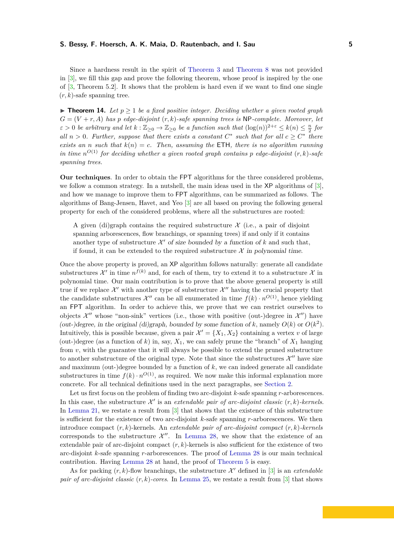Since a hardness result in the spirit of [Theorem 3](#page-1-1) and [Theorem 8](#page-3-2) was not provided in [\[3\]](#page-18-0), we fill this gap and prove the following theorem, whose proof is inspired by the one of [\[3,](#page-18-0) Theorem 5.2]. It shows that the problem is hard even if we want to find one single  $(r, k)$ -safe spanning tree.

<span id="page-4-0"></span> $\triangleright$  **Theorem 14.** Let  $p > 1$  be a fixed positive integer. Deciding whether a given rooted graph  $G = (V + r, A)$  *has p edge-disjoint*  $(r, k)$ *-safe spanning trees is* NP*-complete. Moreover, let*  $\varepsilon > 0$  *be arbitrary and let*  $k : \mathbb{Z}_{\geq 0} \to \mathbb{Z}_{\geq 0}$  *be a function such that*  $(\log(n))^{2+\varepsilon} \leq k(n) \leq \frac{n}{2}$  *for all*  $n > 0$ . Further, suppose that there exists a constant  $C^*$  such that for all  $c \geq C^*$  there *exists an n such that*  $k(n) = c$ *. Then, assuming the* **ETH***, there is no algorithm running in time*  $n^{O(1)}$  *for deciding whether a given rooted graph contains p edge-disjoint*  $(r, k)$ -safe *spanning trees.*

**Our techniques**. In order to obtain the FPT algorithms for the three considered problems, we follow a common strategy. In a nutshell, the main ideas used in the XP algorithms of [\[3\]](#page-18-0), and how we manage to improve them to FPT algorithms, can be summarized as follows. The algorithms of Bang-Jensen, Havet, and Yeo [\[3\]](#page-18-0) are all based on proving the following general property for each of the considered problems, where all the substructures are rooted:

A given (di)graph contains the required substructure  $\mathcal X$  (i.e., a pair of disjoint spanning arborescences, flow branchings, or spanning trees) if and only if it contains another type of substructure  $\mathcal{X}'$  of size bounded by a function of  $k$  and such that, if found, it can be extended to the required substructure  $\mathcal X$  in polynomial time.

Once the above property is proved, an XP algorithm follows naturally: generate all candidate substructures  $\mathcal{X}'$  in time  $n^{f(k)}$  and, for each of them, try to extend it to a substructure  $\mathcal{X}$  in polynomial time. Our main contribution is to prove that the above general property is still true if we replace  $\mathcal{X}'$  with another type of substructure  $\mathcal{X}''$  having the crucial property that the candidate substructures  $\mathcal{X}''$  can be all enumerated in time  $f(k) \cdot n^{O(1)}$ , hence yielding an FPT algorithm. In order to achieve this, we prove that we can restrict ourselves to objects  $\mathcal{X}''$  whose "non-sink" vertices (i.e., those with positive (out-)degree in  $\mathcal{X}''$ ) have (out-)degree, in the original (di)graph, bounded by some function of  $k$ , namely  $O(k)$  or  $O(k^2)$ . Intuitively, this is possible because, given a pair  $\mathcal{X}' = \{X_1, X_2\}$  containing a vertex *v* of large (out-)degree (as a function of  $k$ ) in, say,  $X_1$ , we can safely prune the "branch" of  $X_1$  hanging from *v*, with the guarantee that it will always be possible to extend the pruned substructure to another substructure of the original type. Note that since the substructures  $\mathcal{X}''$  have size and maximum (out-)degree bounded by a function of *k*, we can indeed generate all candidate substructures in time  $f(k) \cdot n^{O(1)}$ , as required. We now make this informal explanation more concrete. For all technical definitions used in the next paragraphs, see [Section 2.](#page-5-0)

Let us first focus on the problem of finding two arc-disjoint *k*-safe spanning *r*-arborescences. In this case, the substructure  $\mathcal{X}'$  is an *extendable pair of arc-disjoint classic*  $(r, k)$ -kernels. In [Lemma 21,](#page-6-0) we restate a result from [\[3\]](#page-18-0) that shows that the existence of this substructure is sufficient for the existence of two arc-disjoint *k*-safe spanning *r*-arborescences. We then introduce compact (*r, k*)-kernels. An *extendable pair of arc-disjoint compact* (*r, k*)*-kernels* corresponds to the substructure  $\mathcal{X}''$ . In [Lemma 28,](#page-9-0) we show that the existence of an extendable pair of arc-disjoint compact  $(r, k)$ -kernels is also sufficient for the existence of two arc-disjoint *k*-safe spanning *r*-arborescences. The proof of [Lemma 28](#page-9-0) is our main technical contribution. Having [Lemma 28](#page-9-0) at hand, the proof of [Theorem 5](#page-2-1) is easy.

As for packing  $(r, k)$ -flow branchings, the substructure  $\mathcal{X}'$  defined in [\[3\]](#page-18-0) is an *extendable pair of arc-disjoint classic* (*r, k*)*-cores*. In [Lemma 25,](#page-7-0) we restate a result from [\[3\]](#page-18-0) that shows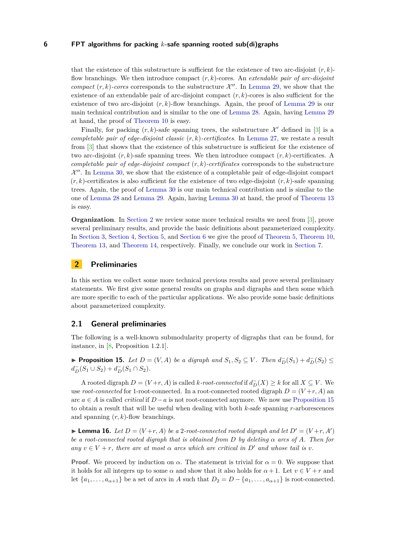that the existence of this substructure is sufficient for the existence of two arc-disjoint  $(r, k)$ flow branchings. We then introduce compact (*r, k*)-cores. An *extendable pair of arc-disjoint compact*  $(r, k)$ -cores corresponds to the substructure  $\mathcal{X}''$ . In [Lemma 29,](#page-11-0) we show that the existence of an extendable pair of arc-disjoint compact (*r, k*)-cores is also sufficient for the existence of two arc-disjoint  $(r, k)$ -flow branchings. Again, the proof of [Lemma 29](#page-11-0) is our main technical contribution and is similar to the one of [Lemma 28.](#page-9-0) Again, having [Lemma 29](#page-11-0) at hand, the proof of [Theorem 10](#page-3-3) is easy.

Finally, for packing  $(r, k)$ -safe spanning trees, the substructure  $\mathcal{X}'$  defined in [\[3\]](#page-18-0) is a *completable pair of edge-disjoint classic* (*r, k*)*-certificates*. In [Lemma 27,](#page-8-1) we restate a result from [\[3\]](#page-18-0) that shows that the existence of this substructure is sufficient for the existence of two arc-disjoint (*r, k*)-safe spanning trees. We then introduce compact (*r, k*)-certificates. A *completable pair of edge-disjoint compact* (*r, k*)*-certificates* corresponds to the substructure  $\mathcal{X}''$ . In [Lemma 30,](#page-13-0) we show that the existence of a completable pair of edge-disjoint compact  $(r, k)$ -certificates is also sufficient for the existence of two edge-disjoint  $(r, k)$ -safe spanning trees. Again, the proof of [Lemma 30](#page-13-0) is our main technical contribution and is similar to the one of [Lemma 28](#page-9-0) and [Lemma 29.](#page-11-0) Again, having [Lemma 30](#page-13-0) at hand, the proof of [Theorem 13](#page-3-4) is easy.

**Organization**. In [Section 2](#page-5-0) we review some more technical results we need from [\[3\]](#page-18-0), prove several preliminary results, and provide the basic definitions about parameterized complexity. In [Section 3,](#page-8-2) [Section 4,](#page-11-1) [Section 5,](#page-13-1) and [Section 6](#page-16-0) we give the proof of [Theorem 5,](#page-2-1) [Theorem 10,](#page-3-3) [Theorem 13,](#page-3-4) and [Theorem 14,](#page-4-0) respectively. Finally, we conclude our work in [Section 7.](#page-17-0)

# <span id="page-5-0"></span>**2 Preliminaries**

In this section we collect some more technical previous results and prove several preliminary statements. We first give some general results on graphs and digraphs and then some which are more specific to each of the particular applications. We also provide some basic definitions about parameterized complexity.

# **2.1 General preliminaries**

The following is a well-known submodularity property of digraphs that can be found, for instance, in [\[8,](#page-19-5) Proposition 1.2.1].

<span id="page-5-1"></span>▶ **Proposition 15.** *Let*  $D = (V, A)$  *be a digraph and*  $S_1, S_2 \subseteq V$ *. Then*  $d_D^-(S_1) + d_D^-(S_2)$  $d_D^-(S_1 \cup S_2) + d_D^-(S_1 \cap S_2)$ .

A rooted digraph  $D = (V+r, A)$  is called *k-root-connected* if  $d_D^-(X) \geq k$  for all  $X \subseteq V$ . We use *root-connected* for 1-root-connected. In a root-connected rooted digraph  $D = (V+r, A)$  and arc  $a \in A$  is called *critical* if  $D - a$  is not root-connected anymore. We now use [Proposition 15](#page-5-1) to obtain a result that will be useful when dealing with both *k*-safe spanning *r*-arborescences and spanning (*r, k*)-flow branchings.

<span id="page-5-2"></span>**Lemma 16.** Let  $D = (V+r, A)$  be a 2-root-connected rooted digraph and let  $D' = (V+r, A')$ *be a root-connected rooted digraph that is obtained from D by deleting α arcs of A. Then for*  $any \, v \in V + r$ , there are at most  $\alpha$  arcs which are critical in  $D'$  and whose tail is  $v$ .

**Proof.** We proceed by induction on  $\alpha$ . The statement is trivial for  $\alpha = 0$ . We suppose that it holds for all integers up to some  $\alpha$  and show that it also holds for  $\alpha + 1$ . Let  $v \in V + r$  and let  $\{a_1, \ldots, a_{\alpha+1}\}\$  be a set of arcs in *A* such that  $D_2 = D - \{a_1, \ldots, a_{\alpha+1}\}\$  is root-connected.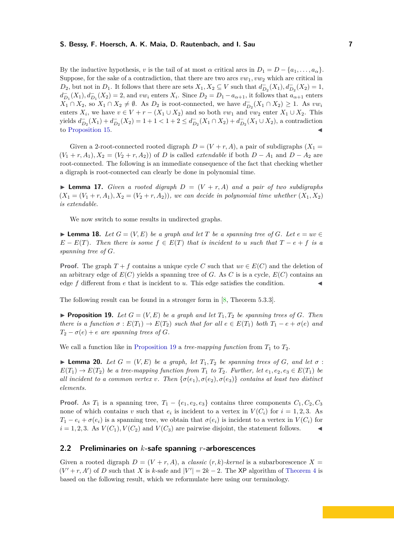By the inductive hypothesis, *v* is the tail of at most  $\alpha$  critical arcs in  $D_1 = D - \{a_1, \ldots, a_\alpha\}$ . Suppose, for the sake of a contradiction, that there are two arcs *vw*1*, vw*<sup>2</sup> which are critical in  $D_2$ , but not in  $D_1$ . It follows that there are sets  $X_1, X_2 \subseteq V$  such that  $d_{D_2}^-(X_1), d_{D_2}^-(X_2) = 1$ ,  $d_{D_1}^-(X_1), d_{D_1}^-(X_2) = 2$ , and *vw<sub>i</sub>* enters  $X_i$ . Since  $D_2 = D_1 - a_{\alpha+1}$ , it follows that  $a_{\alpha+1}$  enters  $X_1 \cap X_2$ , so  $X_1 \cap X_2 \neq \emptyset$ . As  $D_2$  is root-connected, we have  $d_{D_2}^-(X_1 \cap X_2) \geq 1$ . As  $vw_i$ enters  $X_i$ , we have  $v \in V + r - (X_1 \cup X_2)$  and so both  $vw_1$  and  $vw_2$  enter  $X_1 \cup X_2$ . This yields  $d_{D_2}^-(X_1) + d_{D_2}^-(X_2) = 1 + 1 < 1 + 2 \le d_{D_2}^-(X_1 \cap X_2) + d_{D_2}^-(X_1 \cup X_2)$ , a contradiction to [Proposition 15.](#page-5-1)

Given a 2-root-connected rooted digraph  $D = (V + r, A)$ , a pair of subdigraphs  $(X_1 =$  $(V_1 + r, A_1), X_2 = (V_2 + r, A_2)$  of *D* is called *extendable* if both  $D - A_1$  and  $D - A_2$  are root-connected. The following is an immediate consequence of the fact that checking whether a digraph is root-connected can clearly be done in polynomial time.

<span id="page-6-3"></span>**I Lemma 17.** *Given a rooted digraph*  $D = (V + r, A)$  *and a pair of two subdigraphs*  $(X_1 = (V_1 + r, A_1), X_2 = (V_2 + r, A_2)$ *)*, we can decide in polynomial time whether  $(X_1, X_2)$ *is extendable.*

We now switch to some results in undirected graphs.

<span id="page-6-4"></span>► **Lemma 18.** *Let*  $G = (V, E)$  *be a graph and let*  $T$  *be a spanning tree of*  $G$ *. Let*  $e = uv \in$  $E - E(T)$ . Then there is some  $f \in E(T)$  that is incident to *u* such that  $T - e + f$  is a *spanning tree of G.*

**Proof.** The graph  $T + f$  contains a unique cycle *C* such that  $uv \in E(C)$  and the deletion of an arbitrary edge of  $E(C)$  yields a spanning tree of G. As C is is a cycle,  $E(C)$  contains an edge  $f$  different from  $e$  that is incident to  $u$ . This edge satisfies the condition.

<span id="page-6-1"></span>The following result can be found in a stronger form in [\[8,](#page-19-5) Theorem 5.3.3].

**Proposition 19.** Let  $G = (V, E)$  be a graph and let  $T_1, T_2$  be spanning trees of G. Then *there is a function*  $\sigma$  :  $E(T_1) \to E(T_2)$  *such that for all*  $e \in E(T_1)$  *both*  $T_1 - e + \sigma(e)$  *and*  $T_2 - \sigma(e) + e$  *are spanning trees of G.* 

<span id="page-6-5"></span>We call a function like in [Proposition 19](#page-6-1) a *tree-mapping function* from  $T_1$  to  $T_2$ .

**I Lemma 20.** *Let*  $G = (V, E)$  *be a graph, let*  $T_1, T_2$  *be spanning trees of*  $G$ *, and let*  $\sigma$ :  $E(T_1) \rightarrow E(T_2)$  *be a tree-mapping function from*  $T_1$  *to*  $T_2$ *. Further, let*  $e_1, e_2, e_3 \in E(T_1)$  *be all incident to a common vertex v. Then*  $\{\sigma(e_1), \sigma(e_2), \sigma(e_3)\}$  *contains at least two distinct elements.*

**Proof.** As  $T_1$  is a spanning tree,  $T_1 - \{e_1, e_2, e_3\}$  contains three components  $C_1, C_2, C_3$ none of which contains *v* such that  $e_i$  is incident to a vertex in  $V(C_i)$  for  $i = 1, 2, 3$ . As  $T_1 - e_i + \sigma(e_i)$  is a spanning tree, we obtain that  $\sigma(e_i)$  is incident to a vertex in  $V(C_i)$  for  $i = 1, 2, 3$ . As  $V(C_1)$ ,  $V(C_2)$  and  $V(C_3)$  are pairwise disjoint, the statement follows.

# <span id="page-6-2"></span>**2.2 Preliminaries on** *k***-safe spanning** *r***-arborescences**

<span id="page-6-0"></span>Given a rooted digraph  $D = (V + r, A)$ , a *classic*  $(r, k)$ -kernel is a subarborescence  $X =$  $(V' + r, A')$  of *D* such that *X* is *k*-safe and  $|V'| = 2k - 2$ . The XP algorithm of [Theorem 4](#page-2-0) is based on the following result, which we reformulate here using our terminology.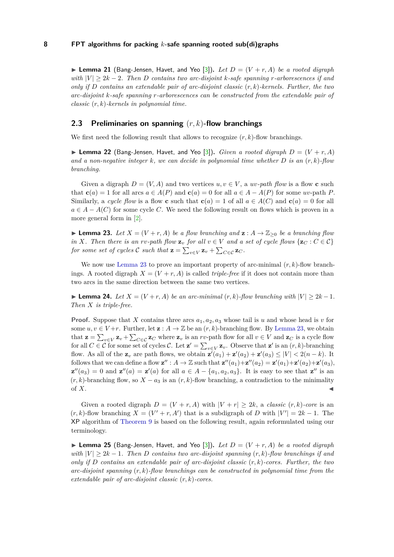**Example 21** (Bang-Jensen, Havet, and Yeo [\[3\]](#page-18-0)). Let  $D = (V + r, A)$  be a rooted digraph *with*  $|V| \geq 2k - 2$ . Then *D* contains two arc-disjoint *k*-safe spanning *r*-arborescences if and *only if D contains an extendable pair of arc-disjoint classic* (*r, k*)*-kernels. Further, the two arc-disjoint k-safe spanning r-arborescences can be constructed from the extendable pair of classic* (*r, k*)*-kernels in polynomial time.*

# <span id="page-7-2"></span>**2.3 Preliminaries on spanning** (*r, k*)**-flow branchings**

<span id="page-7-4"></span>We first need the following result that allows to recognize (*r, k*)-flow branchings.

**Example 22** (Bang-Jensen, Havet, and Yeo [\[3\]](#page-18-0)). *Given a rooted digraph*  $D = (V + r, A)$ *and a non-negative integer k, we can decide in polynomial time whether D is an* (*r, k*)*-flow branching.*

Given a digraph  $D = (V, A)$  and two vertices  $u, v \in V$ , a  $uv$ -path flow is a flow **c** such that  $\mathbf{c}(a) = 1$  for all arcs  $a \in A(P)$  and  $\mathbf{c}(a) = 0$  for all  $a \in A - A(P)$  for some *uv*-path P. Similarly, a *cycle flow* is a flow **c** such that  $\mathbf{c}(a) = 1$  of all  $a \in A(C)$  and  $\mathbf{c}(a) = 0$  for all  $a \in A - A(C)$  for some cycle *C*. We need the following result on flows which is proven in a more general form in [\[2\]](#page-18-3).

<span id="page-7-1"></span>► **Lemma 23.** Let  $X = (V + r, A)$  be a flow branching and  $\mathbf{z} : A \to \mathbb{Z}_{\geq 0}$  be a branching flow *in X. Then there is an rv-path flow*  $\mathbf{z}_v$  *for all*  $v \in V$  *and a set of cycle flows*  $\{z_C : C \in C\}$ *for some set of cycles*  $\mathcal C$  *such that*  $\mathbf{z} = \sum_{v \in V} \mathbf{z}_v + \sum_{C \in \mathcal C} \mathbf{z}_C$ .

We now use [Lemma 23](#page-7-1) to prove an important property of arc-minimal  $(r, k)$ -flow branchings. A rooted digraph  $X = (V + r, A)$  is called *triple-free* if it does not contain more than two arcs in the same direction between the same two vertices.

<span id="page-7-3"></span>► **Lemma 24.** *Let*  $X = (V + r, A)$  *be an arc-minimal*  $(r, k)$ *-flow branching with*  $|V| \geq 2k - 1$ *. Then X is triple-free.*

**Proof.** Suppose that *X* contains three arcs  $a_1, a_2, a_3$  whose tail is *u* and whose head is *v* for some  $u, v \in V+r$ . Further, let  $\mathbf{z}: A \to \mathbb{Z}$  be an  $(r, k)$ -branching flow. By [Lemma 23,](#page-7-1) we obtain that  $\mathbf{z} = \sum_{v \in V} \mathbf{z}_v + \sum_{C \in \mathcal{C}} \mathbf{z}_C$  where  $\mathbf{z}_v$  is an *rv*-path flow for all  $v \in V$  and  $\mathbf{z}_C$  is a cycle flow for all  $C \in \mathcal{C}$  for some set of cycles  $\mathcal{C}$ . Let  $\mathbf{z}' = \sum_{v \in V} \mathbf{z}_v$ . Observe that  $\mathbf{z}'$  is an  $(r, k)$ -branching flow. As all of the  $\mathbf{z}_v$  are path flows, we obtain  $\mathbf{z}^i(a_1) + \mathbf{z}^i(a_2) + \mathbf{z}^i(a_3) \leq |V| < 2(n-k)$ . It follows that we can define a flow  $\mathbf{z}'' : A \to \mathbb{Z}$  such that  $\mathbf{z}''(a_1) + \mathbf{z}''(a_2) = \mathbf{z}'(a_1) + \mathbf{z}'(a_2) + \mathbf{z}'(a_3)$ ,  $z''(a_3) = 0$  and  $z''(a) = z'(a)$  for all  $a \in A - \{a_1, a_2, a_3\}$ . It is easy to see that  $z''$  is an  $(r, k)$ -branching flow, so  $X - a_3$  is an  $(r, k)$ -flow branching, a contradiction to the minimality of  $X$ .

Given a rooted digraph  $D = (V + r, A)$  with  $|V + r| \geq 2k$ , a *classic*  $(r, k)$ -core is an  $(r, k)$ -flow branching  $X = (V' + r, A')$  that is a subdigraph of *D* with  $|V'| = 2k - 1$ . The XP algorithm of [Theorem 9](#page-3-5) is based on the following result, again reformulated using our terminology.

<span id="page-7-0"></span>**I Lemma 25** (Bang-Jensen, Havet, and Yeo [\[3\]](#page-18-0)). Let  $D = (V + r, A)$  be a rooted digraph *with*  $|V| \geq 2k - 1$ . Then *D* contains two arc-disjoint spanning  $(r, k)$ -flow branchings if and *only if D contains an extendable pair of arc-disjoint classic* (*r, k*)*-cores. Further, the two arc-disjoint spanning* (*r, k*)*-flow branchings can be constructed in polynomial time from the extendable pair of arc-disjoint classic* (*r, k*)*-cores.*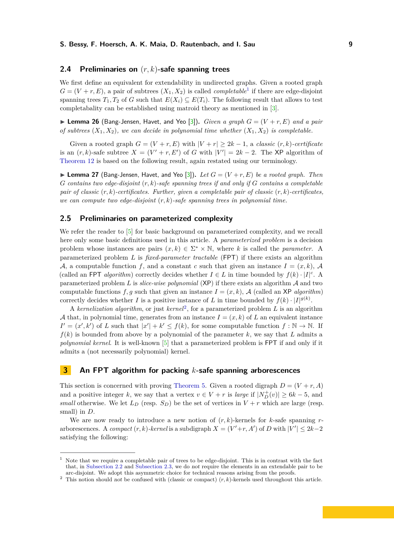# **2.4 Preliminaries on** (*r, k*)**-safe spanning trees**

We first define an equivalent for extendability in undirected graphs. Given a rooted graph  $G = (V + r, E)$ , a pair of subtrees  $(X_1, X_2)$  $(X_1, X_2)$  $(X_1, X_2)$  is called *completable*<sup>1</sup> if there are edge-disjoint spanning trees  $T_1, T_2$  of *G* such that  $E(X_i) \subseteq E(T_i)$ . The following result that allows to test completabality can be established using matroid theory as mentioned in [\[3\]](#page-18-0).

<span id="page-8-5"></span>**Example 26** (Bang-Jensen, Havet, and Yeo [\[3\]](#page-18-0)). *Given a graph*  $G = (V + r, E)$  *and a pair of subtrees*  $(X_1, X_2)$ *, we can decide in polynomial time whether*  $(X_1, X_2)$  *is completable.* 

Given a rooted graph  $G = (V + r, E)$  with  $|V + r| \geq 2k - 1$ , a *classic*  $(r, k)$ -certificate is an  $(r, k)$ -safe subtree  $X = (V' + r, E')$  of *G* with  $|V'| = 2k - 2$ . The XP algorithm of [Theorem 12](#page-3-1) is based on the following result, again restated using our terminology.

<span id="page-8-1"></span> $\blacktriangleright$  **Lemma 27** (Bang-Jensen, Havet, and Yeo [\[3\]](#page-18-0)). Let  $G = (V + r, E)$  be a rooted graph. Then *G contains two edge-disjoint* (*r, k*)*-safe spanning trees if and only if G contains a completable pair of classic* (*r, k*)*-certificates. Further, given a completable pair of classic* (*r, k*)*-certificates, we can compute two edge-disjoint* (*r, k*)*-safe spanning trees in polynomial time.*

# <span id="page-8-0"></span>**2.5 Preliminaries on parameterized complexity**

We refer the reader to [\[5\]](#page-18-4) for basic background on parameterized complexity, and we recall here only some basic definitions used in this article. A *parameterized problem* is a decision problem whose instances are pairs  $(x, k) \in \Sigma^* \times \mathbb{N}$ , where *k* is called the *parameter*. A parameterized problem *L* is *fixed-parameter tractable* (FPT) if there exists an algorithm A, a computable function f, and a constant c such that given an instance  $I = (x, k)$ , A (called an FPT *algorithm*) correctly decides whether  $I \in L$  in time bounded by  $f(k) \cdot |I|^c$ . A parameterized problem *L* is *slice-wise polynomial* (XP) if there exists an algorithm A and two computable functions  $f, g$  such that given an instance  $I = (x, k)$ , A (called an XP *algorithm*) correctly decides whether *I* is a positive instance of *L* in time bounded by  $f(k) \cdot |I|^{g(k)}$ .

A *kernelization algorithm*, or just *kernel*[2](#page-8-4) , for a parameterized problem *L* is an algorithm A that, in polynomial time, generates from an instance  $I = (x, k)$  of L an equivalent instance  $I' = (x', k')$  of *L* such that  $|x'| + k' \le f(k)$ , for some computable function  $f : \mathbb{N} \to \mathbb{N}$ . If  $f(k)$  is bounded from above by a polynomial of the parameter  $k$ , we say that  $L$  admits a *polynomial kernel*. It is well-known [\[5\]](#page-18-4) that a parameterized problem is FPT if and only if it admits a (not necessarily polynomial) kernel.

## <span id="page-8-2"></span>**3 An FPT algorithm for packing** *k***-safe spanning arborescences**

This section is concerned with proving [Theorem 5.](#page-2-1) Given a rooted digraph  $D = (V + r, A)$ and a positive integer *k*, we say that a vertex  $v \in V + r$  is *large* if  $|N_D^+(v)| \ge 6k - 5$ , and *small* otherwise. We let  $L<sub>D</sub>$  (resp.  $S<sub>D</sub>$ ) be the set of vertices in  $V + r$  which are large (resp. small) in *D*.

We are now ready to introduce a new notion of  $(r, k)$ -kernels for  $k$ -safe spanning  $r$ arborescences. A *compact*  $(r, k)$ -kernel is a subdigraph  $X = (V' + r, A')$  of *D* with  $|V'| \leq 2k-2$ satisfying the following:

<span id="page-8-3"></span><sup>1</sup> Note that we require a completable pair of trees to be edge-disjoint. This is in contrast with the fact that, in [Subsection 2.2](#page-6-2) and [Subsection 2.3,](#page-7-2) we do not require the elements in an extendable pair to be arc-disjoint. We adopt this asymmetric choice for technical reasons arising from the proofs.

<span id="page-8-4"></span><sup>&</sup>lt;sup>2</sup> This notion should not be confused with (classic or compact)  $(r, k)$ -kernels used throughout this article.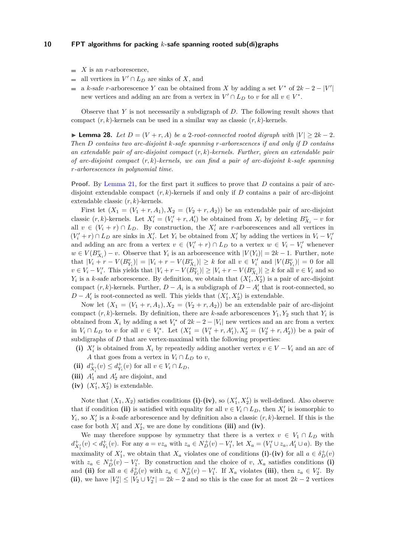- $\blacksquare$  *X* is an *r*-arborescence,
- all vertices in  $V' \cap L_D$  are sinks of X, and
- a *k*-safe *r*-arborescence *Y* can be obtained from *X* by adding a set  $V^*$  of  $2k 2 |V'|$ new vertices and adding an arc from a vertex in  $V' \cap L_D$  to *v* for all  $v \in V^*$ .

Observe that *Y* is not necessarily a subdigraph of *D*. The following result shows that compact (*r, k*)-kernels can be used in a similar way as classic (*r, k*)-kernels.

<span id="page-9-0"></span>► **Lemma 28.** *Let*  $D = (V + r, A)$  *be a* 2*-root-connected rooted digraph with*  $|V| > 2k - 2$ *. Then D contains two arc-disjoint k-safe spanning r-arborescences if and only if D contains an extendable pair of arc-disjoint compact* (*r, k*)*-kernels. Further, given an extendable pair of arc-disjoint compact* (*r, k*)*-kernels, we can find a pair of arc-disjoint k-safe spanning r-arborescences in polynomial time.*

**Proof.** By [Lemma 21,](#page-6-0) for the first part it suffices to prove that *D* contains a pair of arcdisjoint extendable compact (*r, k*)-kernels if and only if *D* contains a pair of arc-disjoint extendable classic (*r, k*)-kernels.

First let  $(X_1 = (V_1 + r, A_1), X_2 = (V_2 + r, A_2)$  be an extendable pair of arc-disjoint classic  $(r, k)$ -kernels. Let  $X'_{i} = (V'_{i} + r, A'_{i})$  be obtained from  $X_{i}$  by deleting  $B_{X_{i}}^{v} - v$  for all  $v \in (V_i + r) \cap L_D$ . By construction, the  $X_i'$  are *r*-arborescences and all vertices in  $(V'_i + r) \cap L_D$  are sinks in  $X'_i$ . Let  $Y_i$  be obtained from  $X'_i$  by adding the vertices in  $V_i - V'_i$ and adding an arc from a vertex  $v \in (V'_i + r) \cap L_D$  to a vertex  $w \in V_i - V'_i$  whenever  $w \in V(B_{X_i}^v) - v$ . Observe that  $Y_i$  is an arborescence with  $|V(Y_i)| = 2k - 1$ . Further, note that  $|V_i + r - V(B_{Y_i}^v)| = |V_i + r - V(B_{X_i}^v)| \ge k$  for all  $v \in V_i'$  and  $|V(B_{Y_i}^v)| = 0$  for all  $v \in V_i - V'_i$ . This yields that  $|V_i + r - V(B_{Y_i}^v)| \ge |V_i + r - V(B_{X_i}^v)| \ge k$  for all  $v \in V_i$  and so  $Y_i$  is a *k*-safe arborescence. By definition, we obtain that  $(X'_1, X'_2)$  is a pair of arc-disjoint compact  $(r, k)$ -kernels. Further,  $D - A_i$  is a subdigraph of  $D - A'_i$  that is root-connected, so  $D - A'_i$  is root-connected as well. This yields that  $(X'_1, X'_2)$  is extendable.

Now let  $(X_1 = (V_1 + r, A_1), X_2 = (V_2 + r, A_2)$  be an extendable pair of arc-disjoint compact  $(r, k)$ -kernels. By definition, there are *k*-safe arborescences  $Y_1, Y_2$  such that  $Y_i$  is obtained from  $X_i$  by adding a set  $V_i^*$  of  $2k - 2 - |V_i|$  new vertices and an arc from a vertex in  $V_i \cap L_D$  to *v* for all  $v \in V_i^*$ . Let  $(X_1' = (V_1' + r, A_1'), X_2' = (V_2' + r, A_2')$  be a pair of subdigraphs of *D* that are vertex-maximal with the following properties:

(i)  $X_i'$  is obtained from  $X_i$  by repeatedly adding another vertex  $v \in V - V_i$  and an arc of *A* that goes from a vertex in  $V_i \cap L_D$  to *v*,

- (ii)  $d_{X'_i}^+(v) \leq d_{Y_i}^+(v)$  for all  $v \in V_i \cap L_D$ ,
- (iii)  $A'_1$  and  $A'_2$  are disjoint, and
- (iv)  $(X'_1, X'_2)$  is extendable.

Note that  $(X_1, X_2)$  satisfies conditions (i)-(iv), so  $(X'_1, X'_2)$  is well-defined. Also observe that if condition (ii) is satisfied with equality for all  $v \in V_i \cap L_D$ , then  $X_i'$  is isomorphic to  $Y_i$ , so  $X'_i$  is a *k*-safe arborescence and by definition also a classic  $(r, k)$ -kernel. If this is the case for both  $X'_1$  and  $X'_2$ , we are done by conditions (iii) and (iv).

We may therefore suppose by symmetry that there is a vertex  $v \in V_1 \cap L_D$  with  $d_{X'_1}^+(v) < d_{Y_1}^+(v)$ . For any  $a = vz_a$  with  $z_a \in N_D^+(v) - V'_1$ , let  $X_a = (V'_1 \cup z_a, A'_1 \cup a)$ . By the maximality of  $X'_1$ , we obtain that  $X_a$  violates one of conditions (i)-(iv) for all  $a \in \delta_D^+(v)$ with  $z_a \in N_D^+(v) - V_1'$ . By construction and the choice of *v*,  $X_a$  satisfies conditions (i) and (ii) for all  $a \in \delta_D^+(v)$  with  $z_a \in N_D^+(v) - V'_1$ . If  $X_a$  violates (iii), then  $z_a \in V'_2$ . By (ii), we have  $|V_2'| \leq |V_2 \cup V_2^*| = 2k - 2$  and so this is the case for at most  $2k - 2$  vertices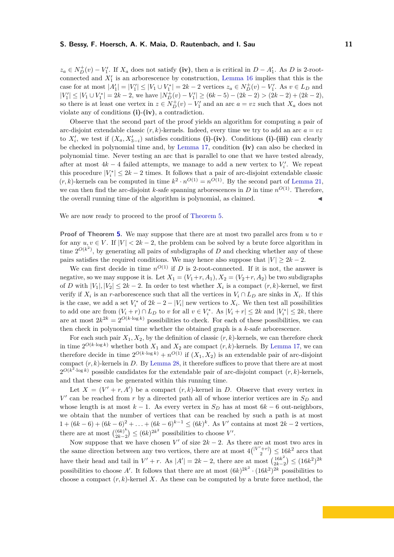$z_a \in N_D^+(v) - V_1'$ . If  $X_a$  does not satisfy **(iv)**, then *a* is critical in  $D - A_1'$ . As *D* is 2-rootconnected and  $X_1'$  is an arborescence by construction, [Lemma 16](#page-5-2) implies that this is the case for at most  $|A'_1| = |V'_1| \leq |V_1 \cup V_1^*| = 2k - 2$  vertices  $z_a \in N_D^+(v) - V'_1$ . As  $v \in L_D$  and  $|V'_1| \leq |V_1 \cup V_1^*| = 2k - 2$ , we have  $|N_D^+(v) - V'_1| \geq (6k - 5) - (2k - 2) > (2k - 2) + (2k - 2)$ , so there is at least one vertex in  $z \in N_D^+(v) - V_1'$  and an arc  $a = vz$  such that  $X_a$  does not violate any of conditions **(i)**-**(iv)**, a contradiction.

Observe that the second part of the proof yields an algorithm for computing a pair of arc-disjoint extendable classic  $(r, k)$ -kernels. Indeed, every time we try to add an arc  $a = vz$ to  $X'_{i}$ , we test if  $(X_{a}, X'_{3-i})$  satisfies conditions (i)-(iv). Conditions (i)-(iii) can clearly be checked in polynomial time and, by [Lemma 17,](#page-6-3) condition **(iv)** can also be checked in polynomial time. Never testing an arc that is parallel to one that we have tested already, after at most  $4k - 4$  failed attempts, we manage to add a new vertex to  $V_i'$ . We repeat this procedure  $|V_i^*| \leq 2k - 2$  times. It follows that a pair of arc-disjoint extendable classic  $(r, k)$ -kernels can be computed in time  $k^2 \cdot n^{O(1)} = n^{O(1)}$ . By the second part of [Lemma 21,](#page-6-0) we can then find the arc-disjoint *k*-safe spanning arborescences in *D* in time  $n^{O(1)}$ . Therefore, the overall running time of the algorithm is polynomial, as claimed.

We are now ready to proceed to the proof of [Theorem 5.](#page-2-1)

**Proof of Theorem [5.](#page-2-1)** We may suppose that there are at most two parallel arcs from *u* to *v* for any  $u, v \in V$ . If  $|V| < 2k - 2$ , the problem can be solved by a brute force algorithm in time  $2^{O(k^2)}$ , by generating all pairs of subdigraphs of *D* and checking whether any of these pairs satisfies the required conditions. We may hence also suppose that  $|V| \geq 2k - 2$ .

We can first decide in time  $n^{O(1)}$  if *D* is 2-root-connected. If it is not, the answer is negative, so we may suppose it is. Let  $X_1 = (V_1+r, A_1), X_2 = (V_2+r, A_2)$  be two subdigraphs of *D* with  $|V_1|, |V_2| \leq 2k - 2$ . In order to test whether  $X_i$  is a compact  $(r, k)$ -kernel, we first verify if  $X_i$  is an *r*-arborescence such that all the vertices in  $V_i \cap L_D$  are sinks in  $X_i$ . If this is the case, we add a set  $V_i^*$  of  $2k - 2 - |V_i|$  new vertices to  $X_i$ . We then test all possibilities to add one arc from  $(V_i + r) \cap L_D$  to *v* for all  $v \in V_i^*$ . As  $|V_i + r| \leq 2k$  and  $|V_i^*| \leq 2k$ , there are at most  $2k^{2k} = 2^{O(k \cdot \log k)}$  possibilities to check. For each of these possibilities, we can then check in polynomial time whether the obtained graph is a *k*-safe arborescence.

For each such pair  $X_1, X_2$ , by the definition of classic  $(r, k)$ -kernels, we can therefore check in time  $2^{O(k \cdot \log k)}$  whether both  $X_1$  and  $X_2$  are compact  $(r, k)$ -kernels. By [Lemma 17,](#page-6-3) we can therefore decide in time  $2^{O(k \cdot \log k)} + n^{O(1)}$  if  $(X_1, X_2)$  is an extendable pair of arc-disjoint compact  $(r, k)$ -kernels in *D*. By [Lemma 28,](#page-9-0) it therefore suffices to prove that there are at most  $2^{O(k^2 \cdot \log k)}$  possible candidates for the extendable pair of arc-disjoint compact  $(r, k)$ -kernels, and that these can be generated within this running time.

Let  $X = (V' + r, A')$  be a compact  $(r, k)$ -kernel in *D*. Observe that every vertex in  $V'$  can be reached from  $r$  by a directed path all of whose interior vertices are in  $S_D$  and whose length is at most  $k - 1$ . As every vertex in  $S<sub>D</sub>$  has at most  $6k - 6$  out-neighbors, we obtain that the number of vertices that can be reached by such a path is at most  $1 + (6k - 6) + (6k - 6)^2 + \ldots + (6k - 6)^{k-1} \leq (6k)^k$ . As *V*' contains at most  $2k - 2$  vertices, there are at most  $\binom{(6k)^k}{2k-2}$  $\binom{(6k)^k}{2k-2}$  ≤  $(6k)^{2k^2}$  possibilities to choose *V'*.

Now suppose that we have chosen  $V'$  of size  $2k - 2$ . As there are at most two arcs in the same direction between any two vertices, there are at most  $4\binom{|V' + r|}{2} \le 16k^2$  arcs that have their head and tail in  $V' + r$ . As  $|A'| = 2k - 2$ , there are at most  $\binom{16k^2}{2k}$  $\binom{16k^2}{2k-2} \leq (16k^2)^{2k}$ possibilities to choose A'. It follows that there are at most  $(6k)^{2k^2} \cdot (16k^2)^{2k}$  possibilities to choose a compact  $(r, k)$ -kernel X. As these can be computed by a brute force method, the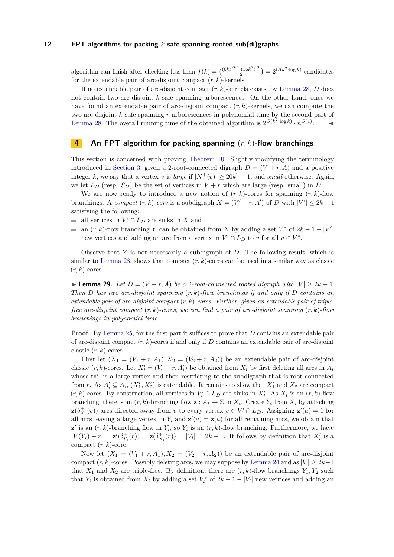algorithm can finish after checking less than  $f(k) = {6k^{2k^2} \cdot (16k^2)^{2k} \over 2}$  $2^{(16k^2)^{2k}}$  =  $2^{O(k^2 \cdot \log k)}$  candidates for the extendable pair of arc-disjoint compact (*r, k*)-kernels.

If no extendable pair of arc-disjoint compact (*r, k*)-kernels exists, by [Lemma 28,](#page-9-0) *D* does not contain two arc-disjoint *k*-safe spanning arborescences. On the other hand, once we have found an extendable pair of arc-disjoint compact (*r, k*)-kernels, we can compute the two arc-disjoint *k*-safe spanning *r*-arborescences in polynomial time by the second part of [Lemma 28.](#page-9-0) The overall running time of the obtained algorithm is  $2^{O(k^2 \cdot \log k)} \cdot n^{O(1)}$ .

# <span id="page-11-1"></span>**4 An FPT algorithm for packing spanning** (*r, k*)**-flow branchings**

This section is concerned with proving [Theorem 10.](#page-3-3) Slightly modifying the terminology introduced in [Section 3,](#page-8-2) given a 2-root-connected digraph  $D = (V + r, A)$  and a positive integer *k*, we say that a vertex *v* is *large* if  $|N^+(v)| \ge 20k^2 + 1$ , and *small* otherwise. Again, we let  $L_D$  (resp.  $S_D$ ) be the set of vertices in  $V + r$  which are large (resp. small) in *D*.

We are now ready to introduce a new notion of  $(r, k)$ -cores for spanning  $(r, k)$ -flow branchings. A *compact*  $(r, k)$ -core is a subdigraph  $X = (V' + r, A')$  of *D* with  $|V'| \leq 2k - 1$ satisfying the following:

- all vertices in  $V' \cap L_D$  are sinks in X and
- an  $(r, k)$ -flow branching *Y* can be obtained from *X* by adding a set  $V^*$  of  $2k 1 |V'|$ new vertices and adding an arc from a vertex in  $V' \cap L_D$  to *v* for all  $v \in V^*$ .

Observe that *Y* is not necessarily a subdigraph of *D*. The following result, which is similar to [Lemma 28,](#page-9-0) shows that compact  $(r, k)$ -cores can be used in a similar way as classic  $(r, k)$ -cores.

<span id="page-11-0"></span>► **Lemma 29.** *Let*  $D = (V + r, A)$  *be a* 2*-root-connected rooted digraph with*  $|V| \geq 2k - 1$ *. Then D has two arc-disjoint spanning* (*r, k*)*-flow branchings if and only if D contains an extendable pair of arc-disjoint compact* (*r, k*)*-cores. Further, given an extendable pair of triplefree arc-disjoint compact* (*r, k*)*-cores, we can find a pair of arc-disjoint spanning* (*r, k*)*-flow branchings in polynomial time.*

**Proof.** By [Lemma 25,](#page-7-0) for the first part it suffices to prove that *D* contains an extendable pair of arc-disjoint compact  $(r, k)$ -cores if and only if  $D$  contains an extendable pair of arc-disjoint classic (*r, k*)-cores.

First let  $(X_1 = (V_1 + r, A_1), X_2 = (V_2 + r, A_2)$  be an extendable pair of arc-disjoint classic  $(r, k)$ -cores. Let  $X'_i = (V'_i + r, A'_i)$  be obtained from  $X_i$  by first deleting all arcs in  $A_i$ whose tail is a large vertex and then restricting to the subdigraph that is root-connected from *r*. As  $A'_i \subseteq A_i$ ,  $(X'_1, X'_2)$  is extendable. It remains to show that  $X'_1$  and  $X'_2$  are compact  $(r, k)$ -cores. By construction, all vertices in  $V_i' \cap L_D$  are sinks in  $X_i'$ . As  $X_i$  is an  $(r, k)$ -flow branching, there is an  $(r, k)$ -branching flow  $\mathbf{z}: A_i \to \mathbb{Z}$  in  $X_i$ . Create  $Y_i$  from  $X_i$  by attaching **z** $(\delta^+_{X_i}(v))$  arcs directed away from *v* to every vertex  $v \in V_i' \cap L_D$ . Assigning **z**'(*a*) = 1 for all arcs leaving a large vertex in  $Y_i$  and  $\mathbf{z}'(a) = \mathbf{z}(a)$  for all remaining arcs, we obtain that  $\mathbf{z}'$  is an  $(r, k)$ -branching flow in  $Y_i$ , so  $Y_i$  is an  $(r, k)$ -flow branching. Furthermore, we have  $|V(Y_i) - r| = \mathbf{z}'(\delta_{Y_i}^+(r)) = \mathbf{z}(\delta_{X_i}^+(r)) = |V_i| = 2k - 1$ . It follows by definition that  $X_i'$  is a compact (*r, k*)-core.

Now let  $(X_1 = (V_1 + r, A_1), X_2 = (V_2 + r, A_2)$  be an extendable pair of arc-disjoint compact  $(r, k)$ -cores. Possibly deleting arcs, we may suppose by [Lemma 24](#page-7-3) and as  $|V| > 2k-1$ that  $X_1$  and  $X_2$  are triple-free. By definition, there are  $(r, k)$ -flow branchings  $Y_1, Y_2$  such that  $Y_i$  is obtained from  $X_i$  by adding a set  $V_i^*$  of  $2k-1-|V_i|$  new vertices and adding an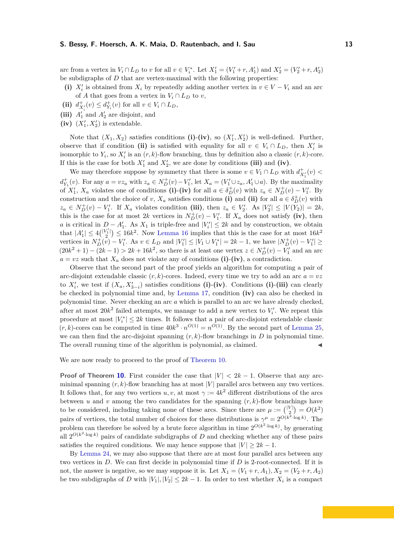arc from a vertex in  $V_i \cap L_D$  to *v* for all  $v \in V_i^*$ . Let  $X_1' = (V_1' + r, A_1')$  and  $X_2' = (V_2' + r, A_2')$ be subdigraphs of *D* that are vertex-maximal with the following properties:

- (i)  $X_i'$  is obtained from  $X_i$  by repeatedly adding another vertex in  $v \in V V_i$  and an arc of *A* that goes from a vertex in  $V_i \cap L_D$  to *v*,
- (ii)  $d_{X'_i}^+(v) \leq d_{Y_i}^+(v)$  for all  $v \in V_i \cap L_D$ ,
- (iii)  $A'_1$  and  $A'_2$  are disjoint, and
- (iv)  $(X'_1, X'_2)$  is extendable.

Note that  $(X_1, X_2)$  satisfies conditions (i)-(iv), so  $(X'_1, X'_2)$  is well-defined. Further, observe that if condition (ii) is satisfied with equality for all  $v \in V_i \cap L_D$ , then  $X_i'$  is isomorphic to  $Y_i$ , so  $X'_i$  is an  $(r, k)$ -flow branching, thus by definition also a classic  $(r, k)$ -core. If this is the case for both  $X_1'$  and  $X_2'$ , we are done by conditions (iii) and (iv).

We may therefore suppose by symmetry that there is some  $v \in V_1 \cap L_D$  with  $d_{X'_1}^+(v)$  $d_{Y_1}^+(v)$ . For any  $a = vz_a$  with  $z_a \in N_D^+(v) - V_1'$ , let  $X_a = (V_1' \cup z_a, A_1' \cup a)$ . By the maximality of  $X'_1$ ,  $X_a$  violates one of conditions (i)-(iv) for all  $a \in \delta_D^+(v)$  with  $z_a \in N_D^+(v) - V'_1$ . By construction and the choice of *v*,  $X_a$  satisfies conditions (i) and (ii) for all  $a \in \delta_D^+(v)$  with  $z_a \in N_D^+(v) - V_1'$ . If  $X_a$  violates condition (iii), then  $z_a \in V_2'$ . As  $|V_2'| \leq |V(Y_2)| = 2k$ , this is the case for at most 2*k* vertices in  $N_D^+(v) - V'_1$ . If  $X_a$  does not satisfy (iv), then *a* is critical in  $D - A'_1$ . As  $X_1$  is triple-free and  $|V'_i| \leq 2k$  and by construction, we obtain that  $|A'_1| \leq 4\binom{|V'_1|}{2} \leq 16k^2$ . Now [Lemma 16](#page-5-2) implies that this is the case for at most  $16k^2$ vertices in  $N_D^+(v) - V_1'$ . As  $v \in L_D$  and  $|V_1'| \leq |V_1 \cup V_1^*| = 2k - 1$ , we have  $|N_D^+(v) - V_1'| \geq$  $(20k^2 + 1) - (2k - 1) > 2k + 16k^2$ , so there is at least one vertex  $z \in N_D^+(v) - V_1'$  and an arc  $a = vz$  such that  $X_a$  does not violate any of conditions (i)-(iv), a contradiction.

Observe that the second part of the proof yields an algorithm for computing a pair of arc-disjoint extendable classic  $(r, k)$ -cores. Indeed, every time we try to add an arc  $a = vz$ to  $X'_{i}$ , we test if  $(X_{a}, X'_{3-i})$  satisfies conditions (i)-(iv). Conditions (i)-(iii) can clearly be checked in polynomial time and, by [Lemma 17,](#page-6-3) condition **(iv)** can also be checked in polynomial time. Never checking an arc *a* which is parallel to an arc we have already checked, after at most  $20k^2$  failed attempts, we manage to add a new vertex to  $V_i'$ . We repeat this procedure at most  $|V_i^*| \leq 2k$  times. It follows that a pair of arc-disjoint extendable classic  $(r, k)$ -cores can be computed in time  $40k^3 \cdot n^{O(1)} = n^{O(1)}$ . By the second part of [Lemma 25,](#page-7-0) we can then find the arc-disjoint spanning  $(r, k)$ -flow branchings in *D* in polynomial time. The overall running time of the algorithm is polynomial, as claimed.

We are now ready to proceed to the proof of [Theorem 10.](#page-3-3)

**Proof of Theorem [10.](#page-3-3)** First consider the case that  $|V| < 2k - 1$ . Observe that any arcminimal spanning  $(r, k)$ -flow branching has at most  $|V|$  parallel arcs between any two vertices. It follows that, for any two vertices  $u, v$ , at most  $\gamma := 4k^2$  different distributions of the arcs between *u* and *v* among the two candidates for the spanning  $(r, k)$ -flow branchings have to be considered, including taking none of these arcs. Since there are  $\mu := \binom{|V|}{2} = O(k^2)$ 2 pairs of vertices, the total number of choices for these distributions is  $\gamma^{\mu} = 2^{O(k^2 \cdot \log k)}$ . The problem can therefore be solved by a brute force algorithm in time  $2^{O(k^2 \cdot \log k)}$ , by generating all  $2^{O(k^2 \cdot \log k)}$  pairs of candidate subdigraphs of *D* and checking whether any of these pairs satisfies the required conditions. We may hence suppose that  $|V| \geq 2k - 1$ .

By [Lemma 24,](#page-7-3) we may also suppose that there are at most four parallel arcs between any two vertices in *D*. We can first decide in polynomial time if *D* is 2-root-connected. If it is not, the answer is negative, so we may suppose it is. Let  $X_1 = (V_1 + r, A_1), X_2 = (V_2 + r, A_2)$ be two subdigraphs of *D* with  $|V_1|, |V_2| \leq 2k - 1$ . In order to test whether  $X_i$  is a compact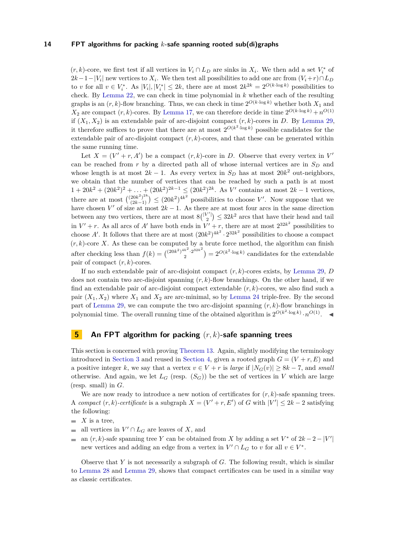$(r, k)$ -core, we first test if all vertices in  $V_i \cap L_D$  are sinks in  $X_i$ . We then add a set  $V_i^*$  of  $2k-1-|V_i|$  new vertices to  $X_i$ . We then test all possibilities to add one arc from  $(V_i+r) \cap L_D$ to *v* for all  $v \in V_i^*$ . As  $|V_i|, |V_i^*| \leq 2k$ , there are at most  $2k^{2k} = 2^{O(k \cdot \log k)}$  possibilities to check. By [Lemma 22,](#page-7-4) we can check in time polynomial in *k* whether each of the resulting graphs is an  $(r, k)$ -flow branching. Thus, we can check in time  $2^{O(k \cdot \log k)}$  whether both  $X_1$  and  $X_2$  are compact  $(r, k)$ -cores. By [Lemma 17,](#page-6-3) we can therefore decide in time  $2^{O(k \cdot \log k)} + n^{O(1)}$ if  $(X_1, X_2)$  is an extendable pair of arc-disjoint compact  $(r, k)$ -cores in *D*. By [Lemma 29,](#page-11-0) it therefore suffices to prove that there are at most  $2^{O(k^2 \cdot \log k)}$  possible candidates for the extendable pair of arc-disjoint compact (*r, k*)-cores, and that these can be generated within the same running time.

Let  $X = (V' + r, A')$  be a compact  $(r, k)$ -core in *D*. Observe that every vertex in  $V'$ can be reached from *r* by a directed path all of whose internal vertices are in *S<sup>D</sup>* and whose length is at most  $2k - 1$ . As every vertex in  $S_D$  has at most  $20k^2$  out-neighbors, we obtain that the number of vertices that can be reached by such a path is at most  $1 + 20k^2 + (20k^2)^2 + \ldots + (20k^2)^{2k-1} \leq (20k^2)^{2k}$ . As *V'* contains at most  $2k - 1$  vertices, there are at most  $\binom{(20k^2)^{2k}}{(2k-1)}$  $\binom{20k^2}{2k-1}$   $\leq$   $(20k^2)^{4k^2}$  possibilities to choose *V'*. Now suppose that we have chosen *V*' of size at most  $2k - 1$ . As there are at most four arcs in the same direction between any two vertices, there are at most  $8\binom{|V'|}{2} \leq 32k^2$  arcs that have their head and tail in  $V' + r$ . As all arcs of *A'* have both ends in  $V' + r$ , there are at most  $2^{32k^2}$  possibilities to choose A'. It follows that there are at most  $(20k^2)^{4k^2} \cdot 2^{32k^2}$  possibilities to choose a compact  $(r, k)$ -core *X*. As these can be computed by a brute force method, the algorithm can finish after checking less than  $f(k) = \left(\frac{(20k^2)^{4k^2} \cdot 2^{32k^2}}{2}\right)$  $\binom{k^2 \cdot 2^{32k^2}}{2} = 2^{O(k^2 \cdot \log k)}$  candidates for the extendable pair of compact (*r, k*)-cores.

If no such extendable pair of arc-disjoint compact (*r, k*)-cores exists, by [Lemma 29,](#page-11-0) *D* does not contain two arc-disjoint spanning (*r, k*)-flow branchings. On the other hand, if we find an extendable pair of arc-disjoint compact extendable (*r, k*)-cores, we also find such a pair  $(X_1, X_2)$  where  $X_1$  and  $X_2$  are arc-minimal, so by [Lemma 24](#page-7-3) triple-free. By the second part of [Lemma 29,](#page-11-0) we can compute the two arc-disjoint spanning (*r, k*)-flow branchings in polynomial time. The overall running time of the obtained algorithm is  $2^{O(k^2 \cdot \log k)} \cdot n^{O(1)}$ .

# <span id="page-13-1"></span>**5 An FPT algorithm for packing** (*r, k*)**-safe spanning trees**

This section is concerned with proving [Theorem 13.](#page-3-4) Again, slightly modifying the terminology introduced in [Section 3](#page-8-2) and reused in [Section 4,](#page-11-1) given a rooted graph  $G = (V + r, E)$  and a positive integer *k*, we say that a vertex  $v \in V + r$  is *large* if  $|N_G(v)| \geq 8k - 7$ , and *small* otherwise. And again, we let  $L_G$  (resp.  $(S_G)$ ) be the set of vertices in *V* which are large (resp. small) in *G*.

We are now ready to introduce a new notion of certificates for  $(r, k)$ -safe spanning trees. A *compact*  $(r, k)$ -certificate is a subgraph  $X = (V' + r, E')$  of *G* with  $|V'| \leq 2k - 2$  satisfying the following:

- $\blacksquare$  *X* is a tree,
- all vertices in  $V' \cap L_G$  are leaves of X, and
- an  $(r, k)$ -safe spanning tree *Y* can be obtained from *X* by adding a set  $V^*$  of  $2k 2 |V'|$ new vertices and adding an edge from a vertex in  $V' \cap L_G$  to *v* for all  $v \in V^*$ .

<span id="page-13-0"></span>Observe that *Y* is not necessarily a subgraph of *G*. The following result, which is similar to [Lemma 28](#page-9-0) and [Lemma 29,](#page-11-0) shows that compact certificates can be used in a similar way as classic certificates.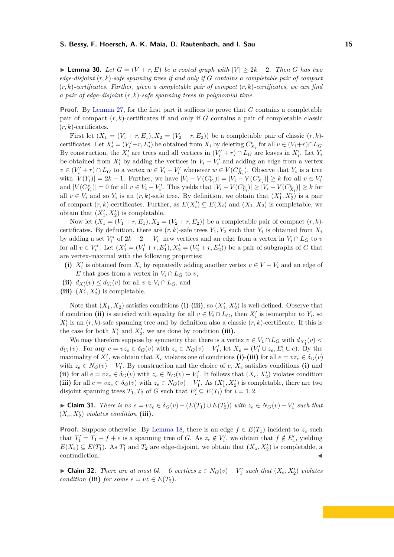**► Lemma 30.** Let  $G = (V + r, E)$  be a rooted graph with  $|V| \geq 2k - 2$ . Then G has two *edge-disjoint* (*r, k*)*-safe spanning trees if and only if G contains a completable pair of compact* (*r, k*)*-certificates. Further, given a completable pair of compact* (*r, k*)*-certificates, we can find a pair of edge-disjoint* (*r, k*)*-safe spanning trees in polynomial time.*

**Proof.** By [Lemma 27,](#page-8-1) for the first part it suffices to prove that *G* contains a completable pair of compact  $(r, k)$ -certificates if and only if  $G$  contains a pair of completable classic  $(r, k)$ -certificates.

First let  $(X_1 = (V_1 + r, E_1), X_2 = (V_2 + r, E_2)$  be a completable pair of classic  $(r, k)$ certificates. Let  $X'_i = (V'_i + r, E'_i)$  be obtained from  $X_i$  by deleting  $C_{X_i}^v$  for all  $v \in (V_i + r) \cap L_G$ . By construction, the  $X'_i$  are trees and all vertices in  $(V'_i + r) \cap L_G$  are leaves in  $X'_i$ . Let  $Y_i$ be obtained from  $X_i'$  by adding the vertices in  $V_i - V_i'$  and adding an edge from a vertex  $v \in (V'_i + r) \cap L_G$  to a vertex  $w \in V_i - V'_i$  whenever  $w \in V(C_{X_i}^v)$ . Observe that  $Y_i$  is a tree with  $|V(Y_i)| = 2k - 1$ . Further, we have  $|V_i - V(C_{Y_i}^v)| = |V_i - V(C_{X_i}^v)| \ge k$  for all  $v \in V_i'$ and  $|V(C_{Y_i}^v)| = 0$  for all  $v \in V_i - V_i'$ . This yields that  $|V_i - V(C_{Y_i}^v)| \ge |V_i - V(C_{X_i}^v)| \ge k$  for all  $v \in V_i$  and so  $Y_i$  is an  $(r, k)$ -safe tree. By definition, we obtain that  $(X'_1, X'_2)$  is a pair of compact  $(r, k)$ -certificates. Further, as  $E(X'_i) \subseteq E(X_i)$  and  $(X_1, X_2)$  is completable, we obtain that  $(X'_1, X'_2)$  is completable.

Now let  $(X_1 = (V_1 + r, E_1), X_2 = (V_2 + r, E_2)$  be a completable pair of compact  $(r, k)$ certificates. By definition, there are  $(r, k)$ -safe trees  $Y_1, Y_2$  such that  $Y_i$  is obtained from  $X_i$ by adding a set  $V_i^*$  of  $2k - 2 - |V_i|$  new vertices and an edge from a vertex in  $V_i \cap L_G$  to *v* for all  $v \in V_i^*$ . Let  $(X_1' = (V_1' + r, E_1'), X_2' = (V_2' + r, E_2'))$  be a pair of subgraphs of *G* that are vertex-maximal with the following properties:

- (i)  $X_i'$  is obtained from  $X_i$  by repeatedly adding another vertex  $v \in V V_i$  and an edge of *E* that goes from a vertex in  $V_i \cap L_G$  to *v*,
- (ii)  $d_{X_i'}(v) \le d_{Y_i}(v)$  for all  $v \in V_i \cap L_G$ , and
- (iii)  $(X'_1, X'_2)$  is completable.

Note that  $(X_1, X_2)$  satisfies conditions (i)-(iii), so  $(X'_1, X'_2)$  is well-defined. Observe that if condition (ii) is satisfied with equality for all  $v \in V_i \cap L_G$ , then  $X_i'$  is isomorphic to  $Y_i$ , so  $X_i'$  is an  $(r, k)$ -safe spanning tree and by definition also a classic  $(r, k)$ -certificate. If this is the case for both  $X'_1$  and  $X'_2$ , we are done by condition (iii).

We may therefore suppose by symmetry that there is a vertex  $v \in V_1 \cap L_G$  with  $d_{X'_1}(v)$  $d_{Y_1}(v)$ . For any  $e = vz_e \in \delta_G(v)$  with  $z_e \in N_G(v) - V'_1$ , let  $X_e = (V'_1 \cup z_e, E'_1 \cup e)$ . By the maximality of  $X'_1$ , we obtain that  $X_e$  violates one of conditions (i)-(iii) for all  $e = vz_e \in \delta_G(v)$ with  $z_e \in N_G(v) - V'_1$ . By construction and the choice of *v*,  $X_e$  satisfies conditions (i) and (ii) for all  $e = vz_e \in \delta_G(v)$  with  $z_e \in N_G(v) - V'_1$ . It follows that  $(X_e, X'_2)$  violates condition (iii) for all  $e = vz_e \in \delta_G(v)$  with  $z_e \in N_G(v) - V'_1$ . As  $(X'_1, X'_2)$  is completable, there are two disjoint spanning trees  $T_1, T_2$  of *G* such that  $E'_i \subseteq E(T_i)$  for  $i = 1, 2$ .

<span id="page-14-0"></span>► Claim 31. There is no  $e = vz_e \in \delta_G(v) - (E(T_1) \cup E(T_2))$  with  $z_e \in N_G(v) - V'_1$  such that  $(X_e, X'_2)$  *violates condition* (iii).

**Proof.** Suppose otherwise. By [Lemma 18,](#page-6-4) there is an edge  $f \in E(T_1)$  incident to  $z_e$  such that  $T_1' = T_1 - f + e$  is a spanning tree of *G*. As  $z_e \notin V_1'$ , we obtain that  $f \notin E_1'$ , yielding  $E(X_e) \subseteq E(T_1')$ . As  $T_1'$  and  $T_2$  are edge-disjoint, we obtain that  $(X_z, X_2')$  is completable, a contradiction.

<span id="page-14-1"></span>► **Claim 32.** *There are at most*  $6k - 6$  *vertices*  $z \in N_G(v) - V'_1$  *such that*  $(X_e, X'_2)$  *violates condition* (iii) *for some*  $e = vz \in E(T_2)$ *.*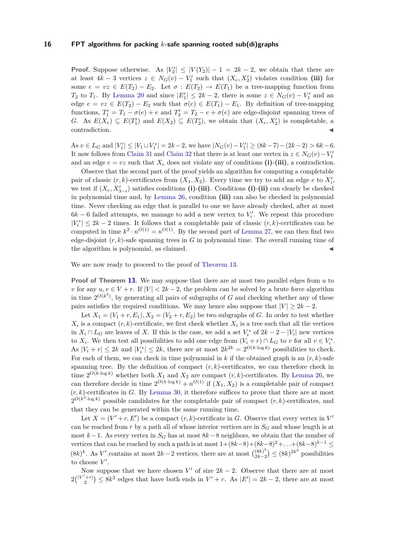**Proof.** Suppose otherwise. As  $|V_2'| \leq |V(Y_2)| - 1 = 2k - 2$ , we obtain that there are at least  $4k - 3$  vertices  $z \in N_G(v) - V'_1$  such that  $(X_e, X'_2)$  violates condition (iii) for some  $e = vz \in E(T_2) - E_2$ . Let  $\sigma : E(T_2) \to E(T_1)$  be a tree-mapping function from *T*<sub>2</sub> to *T*<sub>1</sub>. By [Lemma 20](#page-6-5) and since  $|E_1'| \leq 2k - 2$ , there is some  $z \in N_G(v) - V_1'$  and an edge  $e = vz \in E(T_2) - E_2$  such that  $\sigma(e) \in E(T_1) - E_1$ . By definition of tree-mapping functions,  $T_1' = T_1 - \sigma(e) + e$  and  $T_2' = T_2 - e + \sigma(e)$  are edge-disjoint spanning trees of *G*. As  $E(X_e) \subseteq E(T'_1)$  and  $E(X_2) \subseteq E(T'_2)$ , we obtain that  $(X_e, X'_2)$  is completable, a contradiction.

 $\text{As } v \in L_G \text{ and } |V_1'| \leq |V_1 \cup V_1^*| = 2k - 2$ , we have  $|N_G(v) - V_1'| \geq (8k - 7) - (2k - 2) > 6k - 6$ . It now follows from [Claim 31](#page-14-0) and [Claim 32](#page-14-1) that there is at least one vertex in  $z \in N_G(v) - V_1'$ and an edge  $e = vz$  such that  $X_e$  does not violate any of conditions (i)-(iii), a contradiction.

Observe that the second part of the proof yields an algorithm for computing a completable pair of classic  $(r, k)$ -certificates from  $(X_1, X_2)$ . Every time we try to add an edge  $e$  to  $X'_i$ , we test if  $(X_e, X'_{3-i})$  satisfies conditions (i)-(iii). Conditions (i)-(ii) can clearly be checked in polynomial time and, by [Lemma 26,](#page-8-5) condition **(iii)** can also be checked in polynomial time. Never checking an edge that is parallel to one we have already checked, after at most  $6k - 6$  failed attempts, we manage to add a new vertex to  $V_i'$ . We repeat this procedure  $|V_i^*|$  ≤ 2*k* − 2 times. It follows that a completable pair of classic  $(r, k)$ -certificates can be computed in time  $k^2 \cdot n^{O(1)} = n^{O(1)}$ . By the second part of [Lemma 27,](#page-8-1) we can then find two edge-disjoint  $(r, k)$ -safe spanning trees in  $G$  in polynomial time. The overall running time of the algorithm is polynomial, as claimed.

We are now ready to proceed to the proof of [Theorem 13.](#page-3-4)

**Proof of Theorem [13.](#page-3-4)** We may suppose that there are at most two parallel edges from *u* to *v* for any  $u, v \in V + r$ . If  $|V| < 2k - 2$ , the problem can be solved by a brute force algorithm in time  $2^{O(k^2)}$ , by generating all pairs of subgraphs of *G* and checking whether any of these pairs satisfies the required conditions. We may hence also suppose that  $|V| \geq 2k - 2$ .

Let  $X_1 = (V_1 + r, E_1), X_2 = (V_2 + r, E_2)$  be two subgraphs of *G*. In order to test whether  $X_i$  is a compact  $(r, k)$ -certificate, we first check whether  $X_i$  is a tree such that all the vertices in  $X_i \cap L_G$  are leaves of X. If this is the case, we add a set  $V_i^*$  of  $2k - 2 - |V_i|$  new vertices to  $X_i$ . We then test all possibilities to add one edge from  $(V_i + r) \cap L_G$  to *v* for all  $v \in V_i^*$ . As  $|V_i + r| \leq 2k$  and  $|V_i^*| \leq 2k$ , there are at most  $2k^{2k} = 2^{O(k \cdot \log k)}$  possibilities to check. For each of them, we can check in time polynomial in  $k$  if the obtained graph is an  $(r, k)$ -safe spanning tree. By the definition of compact  $(r, k)$ -certificates, we can therefore check in time  $2^{O(k \cdot \log k)}$  whether both  $X_1$  and  $X_2$  are compact  $(r, k)$ -certificates. By [Lemma 26,](#page-8-5) we can therefore decide in time  $2^{O(k \cdot \log k)} + n^{O(1)}$  if  $(X_1, X_2)$  is a completable pair of compact  $(r, k)$ -certificates in *G*. By [Lemma 30,](#page-13-0) it therefore suffices to prove that there are at most  $2^{O(k^2 \cdot \log k)}$  possible candidates for the completable pair of compact  $(r, k)$ -certificates, and that they can be generated within the same running time.

Let  $X = (V' + r, E')$  be a compact  $(r, k)$ -certificate in *G*. Observe that every vertex in *V* can be reached from  $r$  by a path all of whose interior vertices are in  $S_G$  and whose length is at most  $k-1$ . As every vertex in  $S_G$  has at most  $8k-8$  neighbors, we obtain that the number of vertices that can be reached by such a path is at most  $1+(8k-8)+(8k-8)^2+\ldots+(8k-8)^{k-1} \le$  $(8k)^k$ . As *V'* contains at most  $2k-2$  vertices, there are at most  $\binom{(8k)^k}{2k-2}$  $\binom{(8k)^k}{2k-2}$  ≤  $(8k)^{2k^2}$  possibilities to choose  $V'$ .

Now suppose that we have chosen  $V'$  of size  $2k - 2$ . Observe that there are at most  $2\binom{|V'+r|}{2} \leq 8k^2$  edges that have both ends in  $V'+r$ . As  $|E'| = 2k-2$ , there are at most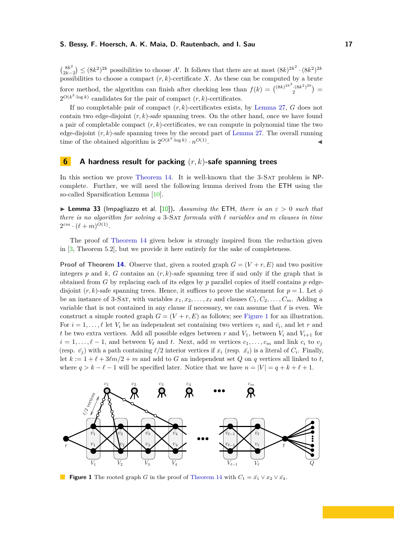$\int_{2L}^{8k^2}$  $\binom{8k^2}{2k-2}$   $\leq (8k^2)^{2k}$  possibilities to choose *A'*. It follows that there are at most  $(8k)^{2k^2} \cdot (8k^2)^{2k}$ possibilities to choose a compact  $(r, k)$ -certificate *X*. As these can be computed by a brute force method, the algorithm can finish after checking less than  $f(k) = \binom{(8k)^{2k^2} (8k^2)^{2k}}{2}$  $\binom{(8k^2)^{2k}}{2}$  =  $2^{O(k^2 \cdot \log k)}$  candidates for the pair of compact  $(r, k)$ -certificates.

If no completable pair of compact (*r, k*)-certificates exists, by [Lemma 27,](#page-8-1) *G* does not contain two edge-disjoint (*r, k*)-safe spanning trees. On the other hand, once we have found a pair of completable compact (*r, k*)-certificates, we can compute in polynomial time the two edge-disjoint (*r, k*)-safe spanning trees by the second part of [Lemma 27.](#page-8-1) The overall running time of the obtained algorithm is  $2^{O(k^2 \cdot \log k)} \cdot n^{O(1)}$ . John Stein Stein Stein Stein Stein Stein Stein Stein Stein Stein Stein Stein Stein Stein Stein Stein Stein S<br>Die Stein Stein Stein Stein Stein Stein Stein Stein Stein Stein Stein Stein Stein Stein Stein Stein Stein Stei

# <span id="page-16-0"></span>**6 A hardness result for packing** (*r, k*)**-safe spanning trees**

In this section we prove [Theorem 14.](#page-4-0) It is well-known that the 3-SAT problem is NPcomplete. Further, we will need the following lemma derived from the ETH using the so-called Sparsification Lemma [\[10\]](#page-19-6).

<span id="page-16-2"></span>**I Lemma 33** (Impagliazzo et al. [\[10\]](#page-19-6)). *Assuming the* ETH, *there is an*  $\varepsilon > 0$  *such that there is no algorithm for solving a* 3-Sat *formula with ` variables and m clauses in time*  $2^{\varepsilon m} \cdot (\ell + m)^{O(1)}$ .

The proof of [Theorem 14](#page-4-0) given below is strongly inspired from the reduction given in [\[3,](#page-18-0) Theorem 5.2], but we provide it here entirely for the sake of completeness.

**Proof of Theorem [14.](#page-4-0)** Observe that, given a rooted graph  $G = (V + r, E)$  and two positive integers  $p$  and  $k$ ,  $G$  contains an  $(r, k)$ -safe spanning tree if and only if the graph that is obtained from *G* by replacing each of its edges by  $p$  parallel copies of itself contains  $p$  edgedisjoint  $(r, k)$ -safe spanning trees. Hence, it suffices to prove the statement for  $p = 1$ . Let  $\phi$ be an instance of 3-SAT, with variables  $x_1, x_2, \ldots, x_\ell$  and clauses  $C_1, C_2, \ldots, C_m$ . Adding a variable that is not contained in any clause if necessary, we can assume that  $\ell$  is even. We construct a simple rooted graph  $G = (V + r, E)$  as follows; see [Figure 1](#page-16-1) for an illustration. For  $i = 1, \ldots, \ell$  let  $V_i$  be an independent set containing two vertices  $v_i$  and  $\bar{v_i}$ , and let *r* and *t* be two extra vertices. Add all possible edges between *r* and  $V_1$ , between  $V_i$  and  $V_{i+1}$  for  $i = 1, \ldots, \ell - 1$ , and between  $V_{\ell}$  and *t*. Next, add *m* vertices  $c_1, \ldots, c_m$  and link  $c_i$  to  $v_j$ (resp.  $\bar{v}_j$ ) with a path containing  $\ell/2$  interior vertices if  $x_i$  (resp.  $\bar{x}_i$ ) is a literal of  $C_i$ . Finally, let  $k := 1 + \ell + 3\ell m/2 + m$  and add to *G* an independent set *Q* on *q* vertices all linked to *t*, where  $q > k - \ell - 1$  will be specified later. Notice that we have  $n = |V| = q + k + \ell + 1$ .

<span id="page-16-1"></span>

**Figure 1** The rooted graph *G* in the proof of [Theorem 14](#page-4-0) with  $C_1 = \bar{x_1} \vee x_2 \vee \bar{x_4}$ .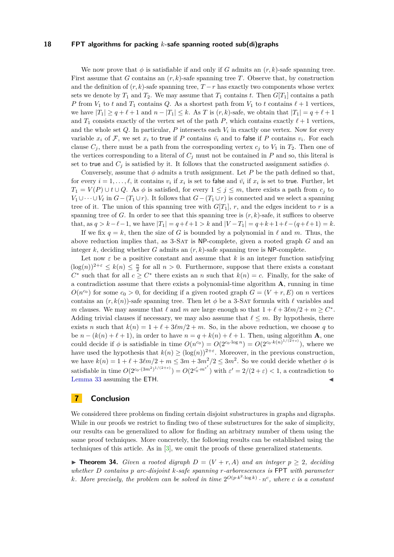We now prove that  $\phi$  is satisfiable if and only if *G* admits an  $(r, k)$ -safe spanning tree. First assume that *G* contains an (*r, k*)-safe spanning tree *T*. Observe that, by construction and the definition of  $(r, k)$ -safe spanning tree,  $T - r$  has exactly two components whose vertex sets we denote by  $T_1$  and  $T_2$ . We may assume that  $T_1$  contains *t*. Then  $G[T_1]$  contains a path *P* from *V*<sub>1</sub> to *t* and *T*<sub>1</sub> contains *Q*. As a shortest path from *V*<sub>1</sub> to *t* contains  $\ell + 1$  vertices, we have  $|T_1| \ge q + \ell + 1$  and  $n - |T_1| \le k$ . As *T* is  $(r, k)$ -safe, we obtain that  $|T_1| = q + \ell + 1$ and  $T_1$  consists exactly of the vertex set of the path *P*, which contains exactly  $\ell + 1$  vertices, and the whole set  $Q$ . In particular,  $P$  intersects each  $V_i$  in exactly one vertex. Now for every variable  $x_i$  of  $\mathcal{F}$ , we set  $x_i$  to true if  $P$  contains  $\bar{v_i}$  and to false if  $P$  contains  $v_i$ . For each clause  $C_j$ , there must be a path from the corresponding vertex  $c_j$  to  $V_1$  in  $T_2$ . Then one of the vertices corresponding to a literal of  $C_j$  must not be contained in  $P$  and so, this literal is set to true and  $C_i$  is satisfied by it. It follows that the constructed assignment satisfies  $\phi$ .

Conversely, assume that  $\phi$  admits a truth assignment. Let P be the path defined so that, for every  $i = 1, \ldots, \ell$ , it contains  $v_i$  if  $x_i$  is set to false and  $\bar{v}_i$  if  $x_i$  is set to true. Further, let *T*<sub>1</sub> = *V*(*P*) ∪ *t* ∪ *Q*. As  $\phi$  is satisfied, for every 1 ≤ *j* ≤ *m*, there exists a path from *c<sub>j</sub>* to *V*<sub>1</sub> ∪···∪*V*<sub> $\ell$ </sub> in *G*−(*T*<sub>1</sub> ∪*r*). It follows that *G*−(*T*<sub>1</sub> ∪*r*) is connected and we select a spanning tree of it. The union of this spanning tree with  $G[T_1]$ , *r*, and the edges incident to *r* is a spanning tree of *G*. In order to see that this spanning tree is  $(r, k)$ -safe, it suffices to observe that, as  $q > k - \ell - 1$ , we have  $|T_1| = q + \ell + 1 > k$  and  $|V - T_1| = q + k + 1 + \ell - (q + \ell + 1) = k$ .

If we fix  $q = k$ , then the size of G is bounded by a polynomial in  $\ell$  and m. Thus, the above reduction implies that, as 3-Sat is NP-complete, given a rooted graph *G* and an integer  $k$ , deciding whether  $G$  admits an  $(r, k)$ -safe spanning tree is NP-complete.

Let now  $\varepsilon$  be a positive constant and assume that  $k$  is an integer function satisfying  $(\log(n))^{2+\varepsilon} \leq k(n) \leq \frac{n}{2}$  for all  $n > 0$ . Furthermore, suppose that there exists a constant  $C^*$  such that for all  $c \geq C^*$  there exists an *n* such that  $k(n) = c$ . Finally, for the sake of a contradiction assume that there exists a polynomial-time algorithm **A**, running in time  $O(n^{c_0})$  for some  $c_0 > 0$ , for deciding if a given rooted graph  $G = (V + r, E)$  on *n* vertices contains an  $(r, k(n))$ -safe spanning tree. Then let  $\phi$  be a 3-SAT formula with  $\ell$  variables and *m* clauses. We may assume that  $\ell$  and  $m$  are large enough so that  $1 + \ell + 3\ell m/2 + m \geq C^*$ . Adding trivial clauses if necessary, we may also assume that  $\ell \leq m$ . By hypothesis, there exists *n* such that  $k(n) = 1 + \ell + 3\ell m/2 + m$ . So, in the above reduction, we choose *q* to be  $n - (k(n) + \ell + 1)$ , in order to have  $n = q + k(n) + \ell + 1$ . Then, using algorithm **A**, one could decide if  $\phi$  is satisfiable in time  $O(n^{c_0}) = O(2^{c_0 \cdot \log n}) = O(2^{c_0 \cdot k(n)^{1/(2+\varepsilon)}})$ , where we have used the hypothesis that  $k(n) \geq (\log(n))^{2+\varepsilon}$ . Moreover, in the previous construction, we have  $k(n) = 1 + \ell + 3\ell m/2 + m \leq 3m + 3m^2/2 \leq 3m^2$ . So we could decide whether  $\phi$  is satisfiable in time  $O(2^{c_0 \cdot (3m^2)^{1/(2+\epsilon)}}) = O(2^{c'_0 \cdot m^{\epsilon'}})$  with  $\varepsilon' = 2/(2+\epsilon) < 1$ , a contradiction to [Lemma 33](#page-16-2) assuming the  $ETH$ .

# <span id="page-17-0"></span>**7 Conclusion**

We considered three problems on finding certain disjoint substructures in graphs and digraphs. While in our proofs we restrict to finding two of these substructures for the sake of simplicity, our results can be generalized to allow for finding an arbitrary number of them using the same proof techniques. More concretely, the following results can be established using the techniques of this article. As in [\[3\]](#page-18-0), we omit the proofs of these generalized statements.

<span id="page-17-1"></span>▶ **Theorem 34.** *Given a rooted digraph*  $D = (V + r, A)$  *and an integer*  $p > 2$ *, deciding whether D contains p arc-disjoint k-safe spanning r-arborescences is* FPT *with parameter k*. More precisely, the problem can be solved in time  $2^{O(p \cdot k^2 \cdot \log k)} \cdot n^c$ , where c is a constant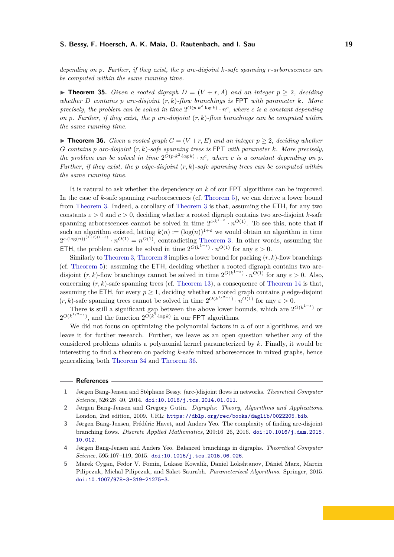*depending on p. Further, if they exist, the p arc-disjoint k-safe spanning r-arborescences can be computed within the same running time.*

▶ **Theorem 35.** *Given a rooted digraph*  $D = (V + r, A)$  *and an integer*  $p > 2$ *, deciding whether D contains p arc-disjoint* (*r, k*)*-flow branchings is* FPT *with parameter k. More precisely, the problem can be solved in time*  $2^{O(p \cdot k^2 \cdot \log k)} \cdot n^c$ , where *c is a constant depending on p. Further, if they exist, the p arc-disjoint* (*r, k*)*-flow branchings can be computed within the same running time.*

<span id="page-18-5"></span>▶ **Theorem 36.** *Given a rooted graph*  $G = (V + r, E)$  *and an integer*  $p ≥ 2$ *, deciding whether G contains p arc-disjoint* (*r, k*)*-safe spanning trees is* FPT *with parameter k. More precisely,* the problem can be solved in time  $2^{O(p \cdot k^2 \cdot \log k)} \cdot n^c$ , where c is a constant depending on p. *Further, if they exist, the p edge-disjoint* (*r, k*)*-safe spanning trees can be computed within the same running time.*

It is natural to ask whether the dependency on *k* of our FPT algorithms can be improved. In the case of *k*-safe spanning *r*-arborescences (cf. [Theorem 5\)](#page-2-1), we can derive a lower bound from [Theorem 3.](#page-1-1) Indeed, a corollary of [Theorem 3](#page-1-1) is that, assuming the ETH, for any two constants  $\varepsilon > 0$  and  $c > 0$ , deciding whether a rooted digraph contains two arc-disjoint *k*-safe spanning arborescences cannot be solved in time  $2^{c \cdot k^{1-\epsilon}} \cdot n^{O(1)}$ . To see this, note that if such an algorithm existed, letting  $k(n) := (\log(n))^{1+\epsilon}$  we would obtain an algorithm in time  $2^{c \cdot (\log(n))^{(1+\varepsilon)(1-\varepsilon)}} \cdot n^{O(1)} = n^{O(1)}$ , contradicting [Theorem 3.](#page-1-1) In other words, assuming the **ETH**, the problem cannot be solved in time  $2^{O(k^{1-\epsilon})} \cdot n^{O(1)}$  for any  $\varepsilon > 0$ .

Similarly to [Theorem 3,](#page-1-1) [Theorem 8](#page-3-2) implies a lower bound for packing (*r, k*)-flow branchings (cf. [Theorem 5\)](#page-2-1): assuming the ETH, deciding whether a rooted digraph contains two arcdisjoint  $(r, k)$ -flow branchings cannot be solved in time  $2^{O(k^{1-\varepsilon})} \cdot n^{O(1)}$  for any  $\varepsilon > 0$ . Also, concerning  $(r, k)$ -safe spanning trees (cf. [Theorem 13\)](#page-3-4), a consequence of [Theorem 14](#page-4-0) is that, assuming the ETH, for every  $p \geq 1$ , deciding whether a rooted graph contains p edge-disjoint  $(r, k)$ -safe spanning trees cannot be solved in time  $2^{O(k^{1/2-\epsilon})} \cdot n^{O(1)}$  for any  $\varepsilon > 0$ .

There is still a significant gap between the above lower bounds, which are  $2^{O(k^{1-\epsilon})}$  or  $2^{O(k^{1/2-\epsilon})}$ , and the function  $2^{O(k^2 \cdot \log k)}$  in our FPT algorithms.

We did not focus on optimizing the polynomial factors in *n* of our algorithms, and we leave it for further research. Further, we leave as an open question whether any of the considered problems admits a polynomial kernel parameterized by *k*. Finally, it would be interesting to find a theorem on packing *k*-safe mixed arborescences in mixed graphs, hence generalizing both [Theorem 34](#page-17-1) and [Theorem 36.](#page-18-5)

## **References**

- <span id="page-18-2"></span>**1** Jørgen Bang-Jensen and Stéphane Bessy. (arc-)disjoint flows in networks. *Theoretical Computer Science*, 526:28–40, 2014. [doi:10.1016/j.tcs.2014.01.011](https://doi.org/10.1016/j.tcs.2014.01.011).
- <span id="page-18-3"></span>**2** Jørgen Bang-Jensen and Gregory Gutin. *Digraphs: Theory, Algorithms and Applications*. London, 2nd edition, 2009. URL: <https://dblp.org/rec/books/daglib/0022205.bib>.
- <span id="page-18-0"></span>**3** Jørgen Bang-Jensen, Frédéric Havet, and Anders Yeo. The complexity of finding arc-disjoint branching flows. *Discrete Applied Mathematics*, 209:16–26, 2016. [doi:10.1016/j.dam.2015.](https://doi.org/10.1016/j.dam.2015.10.012) [10.012](https://doi.org/10.1016/j.dam.2015.10.012).
- <span id="page-18-1"></span>**4** Jørgen Bang-Jensen and Anders Yeo. Balanced branchings in digraphs. *Theoretical Computer Science*, 595:107–119, 2015. [doi:10.1016/j.tcs.2015.06.026](https://doi.org/10.1016/j.tcs.2015.06.026).
- <span id="page-18-4"></span>**5** Marek Cygan, Fedor V. Fomin, Lukasz Kowalik, Daniel Lokshtanov, Dániel Marx, Marcin Pilipczuk, Michal Pilipczuk, and Saket Saurabh. *Parameterized Algorithms*. Springer, 2015. [doi:10.1007/978-3-319-21275-3](https://doi.org/10.1007/978-3-319-21275-3).